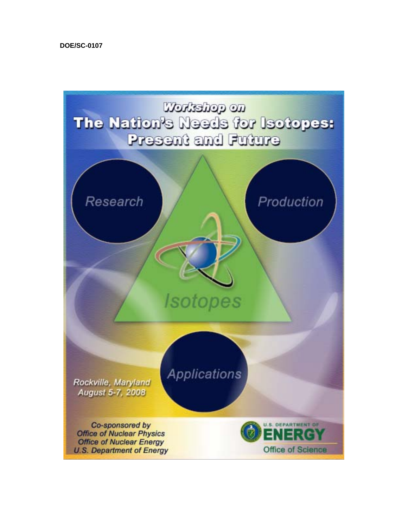**DOE/SC-0107**

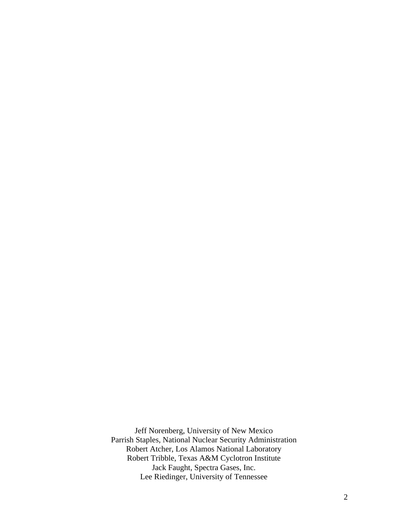Jeff Norenberg, University of New Mexico Parrish Staples, National Nuclear Security Administration Robert Atcher, Los Alamos National Laboratory Robert Tribble, Texas A&M Cyclotron Institute Jack Faught, Spectra Gases, Inc. Lee Riedinger, University of Tennessee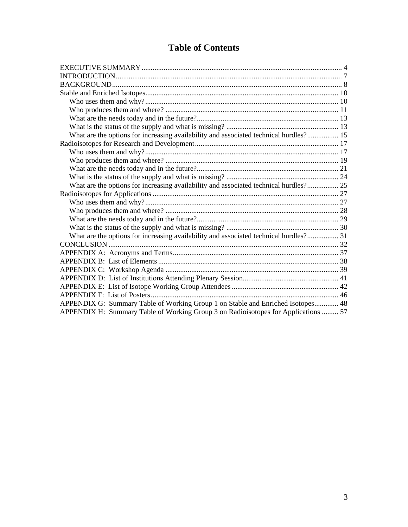# **Table of Contents**

| What are the options for increasing availability and associated technical hurdles? 15 |  |
|---------------------------------------------------------------------------------------|--|
|                                                                                       |  |
|                                                                                       |  |
|                                                                                       |  |
|                                                                                       |  |
|                                                                                       |  |
| What are the options for increasing availability and associated technical hurdles? 25 |  |
|                                                                                       |  |
|                                                                                       |  |
|                                                                                       |  |
|                                                                                       |  |
|                                                                                       |  |
| What are the options for increasing availability and associated technical hurdles? 31 |  |
|                                                                                       |  |
|                                                                                       |  |
|                                                                                       |  |
|                                                                                       |  |
|                                                                                       |  |
|                                                                                       |  |
|                                                                                       |  |
| APPENDIX G: Summary Table of Working Group 1 on Stable and Enriched Isotopes 48       |  |
| APPENDIX H: Summary Table of Working Group 3 on Radioisotopes for Applications  57    |  |
|                                                                                       |  |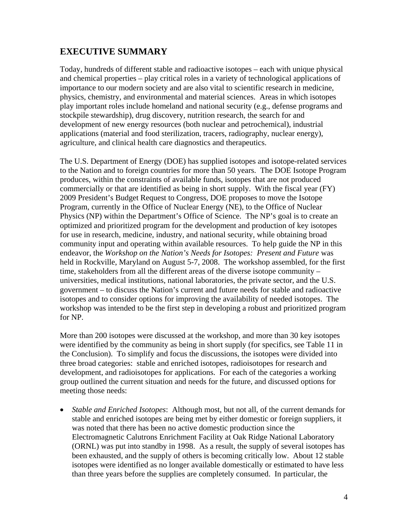# **EXECUTIVE SUMMARY**

Today, hundreds of different stable and radioactive isotopes – each with unique physical and chemical properties – play critical roles in a variety of technological applications of importance to our modern society and are also vital to scientific research in medicine, physics, chemistry, and environmental and material sciences. Areas in which isotopes play important roles include homeland and national security (e.g., defense programs and stockpile stewardship), drug discovery, nutrition research, the search for and development of new energy resources (both nuclear and petrochemical), industrial applications (material and food sterilization, tracers, radiography, nuclear energy), agriculture, and clinical health care diagnostics and therapeutics.

The U.S. Department of Energy (DOE) has supplied isotopes and isotope-related services to the Nation and to foreign countries for more than 50 years. The DOE Isotope Program produces, within the constraints of available funds, isotopes that are not produced commercially or that are identified as being in short supply. With the fiscal year (FY) 2009 President's Budget Request to Congress, DOE proposes to move the Isotope Program, currently in the Office of Nuclear Energy (NE), to the Office of Nuclear Physics (NP) within the Department's Office of Science. The NP's goal is to create an optimized and prioritized program for the development and production of key isotopes for use in research, medicine, industry, and national security, while obtaining broad community input and operating within available resources. To help guide the NP in this endeavor, the *Workshop on the Nation's Needs for Isotopes: Present and Future* was held in Rockville, Maryland on August 5-7, 2008. The workshop assembled, for the first time, stakeholders from all the different areas of the diverse isotope community – universities, medical institutions, national laboratories, the private sector, and the U.S. government – to discuss the Nation's current and future needs for stable and radioactive isotopes and to consider options for improving the availability of needed isotopes. The workshop was intended to be the first step in developing a robust and prioritized program for NP.

More than 200 isotopes were discussed at the workshop, and more than 30 key isotopes were identified by the community as being in short supply (for specifics, see Table 11 in the Conclusion). To simplify and focus the discussions, the isotopes were divided into three broad categories: stable and enriched isotopes, radioisotopes for research and development, and radioisotopes for applications. For each of the categories a working group outlined the current situation and needs for the future, and discussed options for meeting those needs:

• *Stable and Enriched Isotopes*: Although most, but not all, of the current demands for stable and enriched isotopes are being met by either domestic or foreign suppliers, it was noted that there has been no active domestic production since the Electromagnetic Calutrons Enrichment Facility at Oak Ridge National Laboratory (ORNL) was put into standby in 1998. As a result, the supply of several isotopes has been exhausted, and the supply of others is becoming critically low. About 12 stable isotopes were identified as no longer available domestically or estimated to have less than three years before the supplies are completely consumed. In particular, the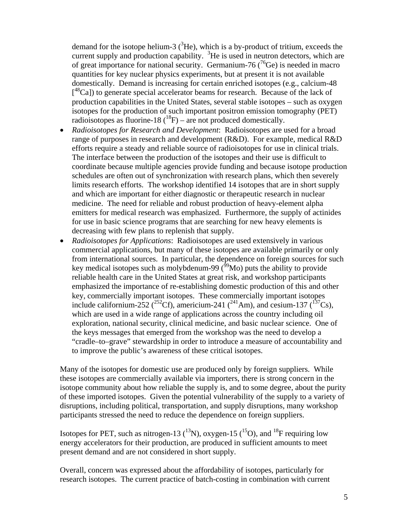demand for the isotope helium-3  $(^{3}$ He), which is a by-product of tritium, exceeds the current supply and production capability.  ${}^{3}$ He is used in neutron detectors, which are of great importance for national security. Germanium-76 ( $^{76}$ Ge) is needed in macro quantities for key nuclear physics experiments, but at present it is not available domestically. Demand is increasing for certain enriched isotopes (e.g., calcium-48 [<sup>48</sup>Ca]) to generate special accelerator beams for research. Because of the lack of production capabilities in the United States, several stable isotopes – such as oxygen isotopes for the production of such important positron emission tomography (PET) radioisotopes as fluorine-18 ( $^{18}F$ ) – are not produced domestically.

- *Radioisotopes for Research and Development*: Radioisotopes are used for a broad range of purposes in research and development (R&D). For example, medical R&D efforts require a steady and reliable source of radioisotopes for use in clinical trials. The interface between the production of the isotopes and their use is difficult to coordinate because multiple agencies provide funding and because isotope production schedules are often out of synchronization with research plans, which then severely limits research efforts. The workshop identified 14 isotopes that are in short supply and which are important for either diagnostic or therapeutic research in nuclear medicine. The need for reliable and robust production of heavy-element alpha emitters for medical research was emphasized. Furthermore, the supply of actinides for use in basic science programs that are searching for new heavy elements is decreasing with few plans to replenish that supply.
- *Radioisotopes for Applications*: Radioisotopes are used extensively in various commercial applications, but many of these isotopes are available primarily or only from international sources. In particular, the dependence on foreign sources for such key medical isotopes such as molybdenum-99 ( $\frac{99}{9}$ Mo) puts the ability to provide reliable health care in the United States at great risk, and workshop participants emphasized the importance of re-establishing domestic production of this and other key, commercially important isotopes. These commercially important isotopes include californium-252 (<sup>252</sup>Cf), americium-241 (<sup>241</sup>Am), and cesium-137 (<sup>137</sup>Cs), which are used in a wide range of applications across the country including oil exploration, national security, clinical medicine, and basic nuclear science. One of the keys messages that emerged from the workshop was the need to develop a "cradle–to–grave" stewardship in order to introduce a measure of accountability and to improve the public's awareness of these critical isotopes.

Many of the isotopes for domestic use are produced only by foreign suppliers. While these isotopes are commercially available via importers, there is strong concern in the isotope community about how reliable the supply is, and to some degree, about the purity of these imported isotopes. Given the potential vulnerability of the supply to a variety of disruptions, including political, transportation, and supply disruptions, many workshop participants stressed the need to reduce the dependence on foreign suppliers.

Isotopes for PET, such as nitrogen-13  $(^{13}N)$ , oxygen-15  $(^{15}O)$ , and  $^{18}F$  requiring low energy accelerators for their production, are produced in sufficient amounts to meet present demand and are not considered in short supply.

Overall, concern was expressed about the affordability of isotopes, particularly for research isotopes. The current practice of batch-costing in combination with current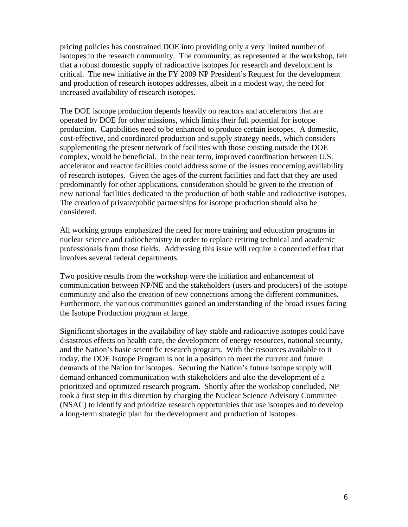pricing policies has constrained DOE into providing only a very limited number of isotopes to the research community. The community, as represented at the workshop, felt that a robust domestic supply of radioactive isotopes for research and development is critical. The new initiative in the FY 2009 NP President's Request for the development and production of research isotopes addresses, albeit in a modest way, the need for increased availability of research isotopes.

The DOE isotope production depends heavily on reactors and accelerators that are operated by DOE for other missions, which limits their full potential for isotope production. Capabilities need to be enhanced to produce certain isotopes. A domestic, cost-effective, and coordinated production and supply strategy needs, which considers supplementing the present network of facilities with those existing outside the DOE complex, would be beneficial. In the near term, improved coordination between U.S. accelerator and reactor facilities could address some of the issues concerning availability of research isotopes. Given the ages of the current facilities and fact that they are used predominantly for other applications, consideration should be given to the creation of new national facilities dedicated to the production of both stable and radioactive isotopes. The creation of private/public partnerships for isotope production should also be considered.

All working groups emphasized the need for more training and education programs in nuclear science and radiochemistry in order to replace retiring technical and academic professionals from those fields. Addressing this issue will require a concerted effort that involves several federal departments.

Two positive results from the workshop were the initiation and enhancement of communication between NP/NE and the stakeholders (users and producers) of the isotope community and also the creation of new connections among the different communities. Furthermore, the various communities gained an understanding of the broad issues facing the Isotope Production program at large.

Significant shortages in the availability of key stable and radioactive isotopes could have disastrous effects on health care, the development of energy resources, national security, and the Nation's basic scientific research program. With the resources available to it today, the DOE Isotope Program is not in a position to meet the current and future demands of the Nation for isotopes. Securing the Nation's future isotope supply will demand enhanced communication with stakeholders and also the development of a prioritized and optimized research program. Shortly after the workshop concluded, NP took a first step in this direction by charging the Nuclear Science Advisory Committee (NSAC) to identify and prioritize research opportunities that use isotopes and to develop a long-term strategic plan for the development and production of isotopes.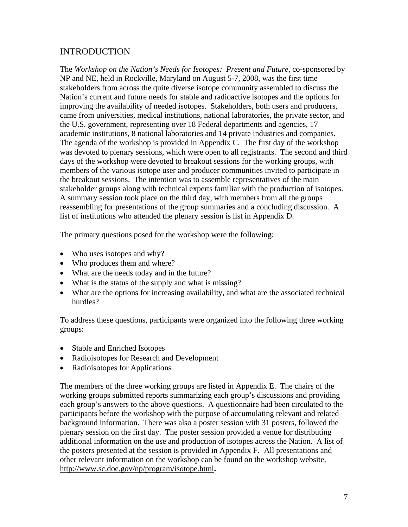# INTRODUCTION

The *Workshop on the Nation's Needs for Isotopes: Present and Future*, co-sponsored by NP and NE, held in Rockville, Maryland on August 5-7, 2008, was the first time stakeholders from across the quite diverse isotope community assembled to discuss the Nation's current and future needs for stable and radioactive isotopes and the options for improving the availability of needed isotopes. Stakeholders, both users and producers, came from universities, medical institutions, national laboratories, the private sector, and the U.S. government, representing over 18 Federal departments and agencies, 17 academic institutions, 8 national laboratories and 14 private industries and companies. The agenda of the workshop is provided in Appendix C. The first day of the workshop was devoted to plenary sessions, which were open to all registrants. The second and third days of the workshop were devoted to breakout sessions for the working groups, with members of the various isotope user and producer communities invited to participate in the breakout sessions. The intention was to assemble representatives of the main stakeholder groups along with technical experts familiar with the production of isotopes. A summary session took place on the third day, with members from all the groups reassembling for presentations of the group summaries and a concluding discussion. A list of institutions who attended the plenary session is list in Appendix D.

The primary questions posed for the workshop were the following:

- Who uses isotopes and why?
- Who produces them and where?
- What are the needs today and in the future?
- What is the status of the supply and what is missing?
- What are the options for increasing availability, and what are the associated technical hurdles?

To address these questions, participants were organized into the following three working groups:

- Stable and Enriched Isotopes
- Radioisotopes for Research and Development
- Radioisotopes for Applications

The members of the three working groups are listed in Appendix E. The chairs of the working groups submitted reports summarizing each group's discussions and providing each group's answers to the above questions. A questionnaire had been circulated to the participants before the workshop with the purpose of accumulating relevant and related background information. There was also a poster session with 31 posters, followed the plenary session on the first day. The poster session provided a venue for distributing additional information on the use and production of isotopes across the Nation. A list of the posters presented at the session is provided in Appendix F. All presentations and other relevant information on the workshop can be found on the workshop website, http://www.sc.doe.gov/np/program/isotope.html**.**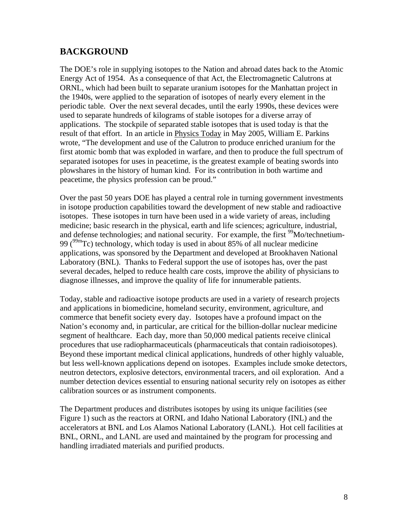# **BACKGROUND**

The DOE's role in supplying isotopes to the Nation and abroad dates back to the Atomic Energy Act of 1954. As a consequence of that Act, the Electromagnetic Calutrons at ORNL, which had been built to separate uranium isotopes for the Manhattan project in the 1940s, were applied to the separation of isotopes of nearly every element in the periodic table. Over the next several decades, until the early 1990s, these devices were used to separate hundreds of kilograms of stable isotopes for a diverse array of applications. The stockpile of separated stable isotopes that is used today is that the result of that effort. In an article in Physics Today in May 2005, William E. Parkins wrote, "The development and use of the Calutron to produce enriched uranium for the first atomic bomb that was exploded in warfare, and then to produce the full spectrum of separated isotopes for uses in peacetime, is the greatest example of beating swords into plowshares in the history of human kind. For its contribution in both wartime and peacetime, the physics profession can be proud."

Over the past 50 years DOE has played a central role in turning government investments in isotope production capabilities toward the development of new stable and radioactive isotopes. These isotopes in turn have been used in a wide variety of areas, including medicine; basic research in the physical, earth and life sciences; agriculture, industrial, and defense technologies; and national security. For example, the first <sup>99</sup>Mo/technetium-99 ( $^{99m}$ Tc) technology, which today is used in about 85% of all nuclear medicine applications, was sponsored by the Department and developed at Brookhaven National Laboratory (BNL). Thanks to Federal support the use of isotopes has, over the past several decades, helped to reduce health care costs, improve the ability of physicians to diagnose illnesses, and improve the quality of life for innumerable patients.

Today, stable and radioactive isotope products are used in a variety of research projects and applications in biomedicine, homeland security, environment, agriculture, and commerce that benefit society every day. Isotopes have a profound impact on the Nation's economy and, in particular, are critical for the billion-dollar nuclear medicine segment of healthcare. Each day, more than 50,000 medical patients receive clinical procedures that use radiopharmaceuticals (pharmaceuticals that contain radioisotopes). Beyond these important medical clinical applications, hundreds of other highly valuable, but less well-known applications depend on isotopes. Examples include smoke detectors, neutron detectors, explosive detectors, environmental tracers, and oil exploration. And a number detection devices essential to ensuring national security rely on isotopes as either calibration sources or as instrument components.

The Department produces and distributes isotopes by using its unique facilities (see Figure 1) such as the reactors at ORNL and Idaho National Laboratory (INL) and the accelerators at BNL and Los Alamos National Laboratory (LANL). Hot cell facilities at BNL, ORNL, and LANL are used and maintained by the program for processing and handling irradiated materials and purified products.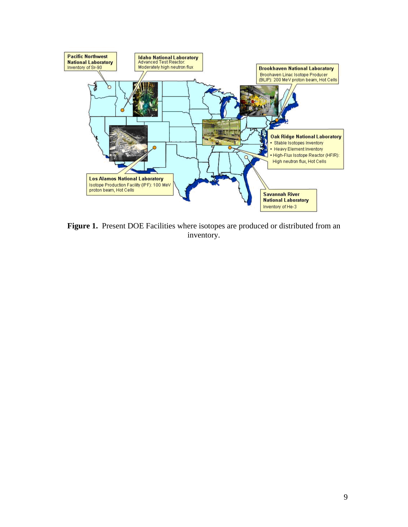

**Figure 1.** Present DOE Facilities where isotopes are produced or distributed from an inventory.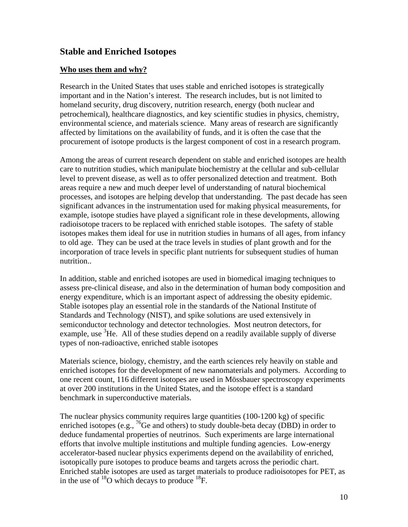# **Stable and Enriched Isotopes**

### **Who uses them and why?**

Research in the United States that uses stable and enriched isotopes is strategically important and in the Nation's interest. The research includes, but is not limited to homeland security, drug discovery, nutrition research, energy (both nuclear and petrochemical), healthcare diagnostics, and key scientific studies in physics, chemistry, environmental science, and materials science. Many areas of research are significantly affected by limitations on the availability of funds, and it is often the case that the procurement of isotope products is the largest component of cost in a research program.

Among the areas of current research dependent on stable and enriched isotopes are health care to nutrition studies, which manipulate biochemistry at the cellular and sub-cellular level to prevent disease, as well as to offer personalized detection and treatment. Both areas require a new and much deeper level of understanding of natural biochemical processes, and isotopes are helping develop that understanding. The past decade has seen significant advances in the instrumentation used for making physical measurements, for example, isotope studies have played a significant role in these developments, allowing radioisotope tracers to be replaced with enriched stable isotopes. The safety of stable isotopes makes them ideal for use in nutrition studies in humans of all ages, from infancy to old age. They can be used at the trace levels in studies of plant growth and for the incorporation of trace levels in specific plant nutrients for subsequent studies of human nutrition..

In addition, stable and enriched isotopes are used in biomedical imaging techniques to assess pre-clinical disease, and also in the determination of human body composition and energy expenditure, which is an important aspect of addressing the obesity epidemic. Stable isotopes play an essential role in the standards of the National Institute of Standards and Technology (NIST), and spike solutions are used extensively in semiconductor technology and detector technologies. Most neutron detectors, for example, use  $3H$ e. All of these studies depend on a readily available supply of diverse types of non-radioactive, enriched stable isotopes

Materials science, biology, chemistry, and the earth sciences rely heavily on stable and enriched isotopes for the development of new nanomaterials and polymers. According to one recent count, 116 different isotopes are used in Mössbauer spectroscopy experiments at over 200 institutions in the United States, and the isotope effect is a standard benchmark in superconductive materials.

The nuclear physics community requires large quantities (100-1200 kg) of specific enriched isotopes (e.g.,  ${}^{76}$ Ge and others) to study double-beta decay (DBD) in order to deduce fundamental properties of neutrinos. Such experiments are large international efforts that involve multiple institutions and multiple funding agencies. Low-energy accelerator-based nuclear physics experiments depend on the availability of enriched, isotopically pure isotopes to produce beams and targets across the periodic chart. Enriched stable isotopes are used as target materials to produce radioisotopes for PET, as in the use of  $^{18}$ O which decays to produce  $^{18}$ F.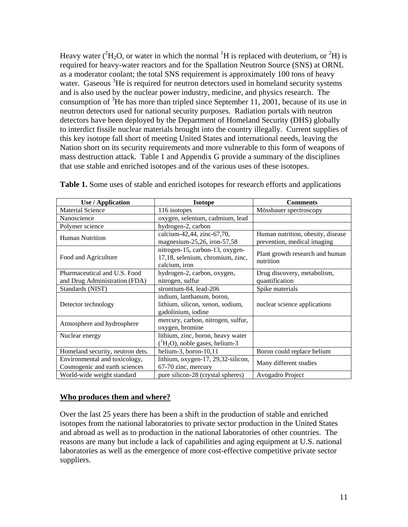Heavy water ( ${}^{2}H_{2}O$ , or water in which the normal  ${}^{1}H$  is replaced with deuterium, or  ${}^{2}H$ ) is required for heavy-water reactors and for the Spallation Neutron Source (SNS) at ORNL as a moderator coolant; the total SNS requirement is approximately 100 tons of heavy water. Gaseous <sup>3</sup>He is required for neutron detectors used in homeland security systems and is also used by the nuclear power industry, medicine, and physics research. The consumption of  ${}^{3}$ He has more than tripled since September 11, 2001, because of its use in neutron detectors used for national security purposes. Radiation portals with neutron detectors have been deployed by the Department of Homeland Security (DHS) globally to interdict fissile nuclear materials brought into the country illegally. Current supplies of this key isotope fall short of meeting United States and international needs, leaving the Nation short on its security requirements and more vulnerable to this form of weapons of mass destruction attack. Table 1 and Appendix G provide a summary of the disciplines that use stable and enriched isotopes and of the various uses of these isotopes.

| <b>Use / Application</b>                                       | <b>Isotope</b>                                                                       | <b>Comments</b>                              |
|----------------------------------------------------------------|--------------------------------------------------------------------------------------|----------------------------------------------|
| <b>Material Science</b>                                        | 116 isotopes                                                                         | Mössbauer spectroscopy                       |
| Nanoscience                                                    | oxygen, selenium, cadmium, lead                                                      |                                              |
| Polymer science                                                | hydrogen-2, carbon                                                                   |                                              |
| <b>Human Nutrition</b>                                         | calcium-42,44, zinc-67,70,                                                           | Human nutrition, obesity, disease            |
|                                                                | magnesium-25,26, iron-57,58                                                          | prevention, medical imaging                  |
| Food and Agriculture                                           | nitrogen-15, carbon-13, oxygen-<br>17,18, selenium, chromium, zinc,<br>calcium, iron | Plant growth research and human<br>nutrition |
| Pharmaceutical and U.S. Food                                   | hydrogen-2, carbon, oxygen,                                                          | Drug discovery, metabolism,                  |
| and Drug Administration (FDA)                                  | nitrogen, sulfur                                                                     | quantification                               |
| Standards (NIST)                                               | strontium-84, lead-206                                                               | Spike materials                              |
| Detector technology                                            | indium, lanthanum, boron,<br>lithium, silicon, xenon, sodium,<br>gadolinium, iodine  | nuclear science applications                 |
| Atmosphere and hydrosphere                                     | mercury, carbon, nitrogen, sulfur,<br>oxygen, bromine                                |                                              |
| Nuclear energy                                                 | lithium, zinc, boron, heavy water                                                    |                                              |
|                                                                | $(^{2}H_{2}O)$ , noble gases, helium-3                                               |                                              |
| Homeland security, neutron dets.                               | helium-3, boron- $10,11$                                                             | Boron could replace helium                   |
| Environmental and toxicology,<br>Cosmogenic and earth sciences | lithium, oxygen-17, 29,32-silicon,<br>67-70 zinc, mercury                            | Many different studies                       |
| World-wide weight standard                                     | pure silicon-28 (crystal spheres)                                                    | Avogadro Project                             |

**Table 1.** Some uses of stable and enriched isotopes for research efforts and applications

### **Who produces them and where?**

Over the last 25 years there has been a shift in the production of stable and enriched isotopes from the national laboratories to private sector production in the United States and abroad as well as to production in the national laboratories of other countries. The reasons are many but include a lack of capabilities and aging equipment at U.S. national laboratories as well as the emergence of more cost-effective competitive private sector suppliers.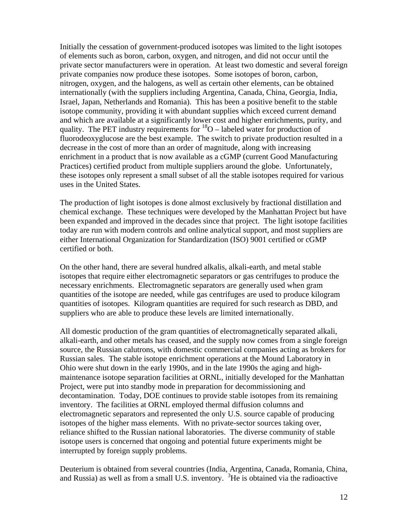Initially the cessation of government-produced isotopes was limited to the light isotopes of elements such as boron, carbon, oxygen, and nitrogen, and did not occur until the private sector manufacturers were in operation. At least two domestic and several foreign private companies now produce these isotopes. Some isotopes of boron, carbon, nitrogen, oxygen, and the halogens, as well as certain other elements, can be obtained internationally (with the suppliers including Argentina, Canada, China, Georgia, India, Israel, Japan, Netherlands and Romania). This has been a positive benefit to the stable isotope community, providing it with abundant supplies which exceed current demand and which are available at a significantly lower cost and higher enrichments, purity, and quality. The PET industry requirements for  ${}^{18}O$  – labeled water for production of fluorodeoxyglucose are the best example. The switch to private production resulted in a decrease in the cost of more than an order of magnitude, along with increasing enrichment in a product that is now available as a cGMP (current Good Manufacturing Practices) certified product from multiple suppliers around the globe. Unfortunately, these isotopes only represent a small subset of all the stable isotopes required for various uses in the United States.

The production of light isotopes is done almost exclusively by fractional distillation and chemical exchange. These techniques were developed by the Manhattan Project but have been expanded and improved in the decades since that project. The light isotope facilities today are run with modern controls and online analytical support, and most suppliers are either International Organization for Standardization (ISO) 9001 certified or cGMP certified or both.

On the other hand, there are several hundred alkalis, alkali-earth, and metal stable isotopes that require either electromagnetic separators or gas centrifuges to produce the necessary enrichments. Electromagnetic separators are generally used when gram quantities of the isotope are needed, while gas centrifuges are used to produce kilogram quantities of isotopes. Kilogram quantities are required for such research as DBD, and suppliers who are able to produce these levels are limited internationally.

All domestic production of the gram quantities of electromagnetically separated alkali, alkali-earth, and other metals has ceased, and the supply now comes from a single foreign source, the Russian calutrons, with domestic commercial companies acting as brokers for Russian sales. The stable isotope enrichment operations at the Mound Laboratory in Ohio were shut down in the early 1990s, and in the late 1990s the aging and highmaintenance isotope separation facilities at ORNL, initially developed for the Manhattan Project, were put into standby mode in preparation for decommissioning and decontamination. Today, DOE continues to provide stable isotopes from its remaining inventory. The facilities at ORNL employed thermal diffusion columns and electromagnetic separators and represented the only U.S. source capable of producing isotopes of the higher mass elements. With no private-sector sources taking over, reliance shifted to the Russian national laboratories. The diverse community of stable isotope users is concerned that ongoing and potential future experiments might be interrupted by foreign supply problems.

Deuterium is obtained from several countries (India, Argentina, Canada, Romania, China, and Russia) as well as from a small U.S. inventory.  ${}^{3}$ He is obtained via the radioactive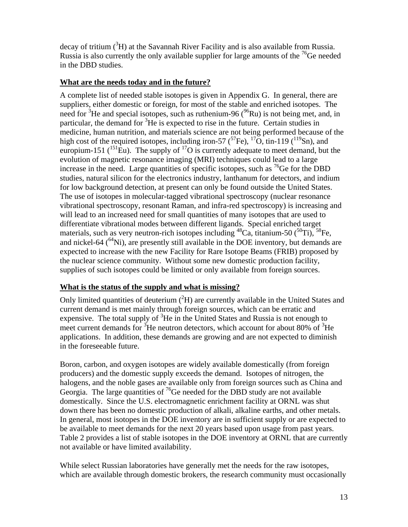decay of tritium  $({}^{3}H)$  at the Savannah River Facility and is also available from Russia. Russia is also currently the only available supplier for large amounts of the  $^{76}$ Ge needed in the DBD studies.

### **What are the needs today and in the future?**

A complete list of needed stable isotopes is given in Appendix G. In general, there are suppliers, either domestic or foreign, for most of the stable and enriched isotopes. The need for <sup>3</sup>He and special isotopes, such as ruthenium-96 ( $96$ Ru) is not being met, and, in particular, the demand for  ${}^{3}$ He is expected to rise in the future. Certain studies in medicine, human nutrition, and materials science are not being performed because of the high cost of the required isotopes, including iron-57  $({}^{57}Fe)$ ,  ${}^{17}O$ , tin-119  $({}^{119}Sn)$ , and europium-151 ( ${}^{151}$ Eu). The supply of  ${}^{17}O$  is currently adequate to meet demand, but the evolution of magnetic resonance imaging (MRI) techniques could lead to a large increase in the need. Large quantities of specific isotopes, such as  ${}^{76}$ Ge for the DBD studies, natural silicon for the electronics industry, lanthanum for detectors, and indium for low background detection, at present can only be found outside the United States. The use of isotopes in molecular-tagged vibrational spectroscopy (nuclear resonance vibrational spectroscopy, resonant Raman, and infra-red spectroscopy) is increasing and will lead to an increased need for small quantities of many isotopes that are used to differentiate vibrational modes between different ligands. Special enriched target materials, such as very neutron-rich isotopes including  ${}^{48}Ca$ , titanium-50  $({}^{50}Ti)$ ,  ${}^{58}Fe$ , and nickel-64  $(^{64}Ni)$ , are presently still available in the DOE inventory, but demands are expected to increase with the new Facility for Rare Isotope Beams (FRIB) proposed by the nuclear science community. Without some new domestic production facility, supplies of such isotopes could be limited or only available from foreign sources.

### **What is the status of the supply and what is missing?**

Only limited quantities of deuterium  $(^{2}H)$  are currently available in the United States and current demand is met mainly through foreign sources, which can be erratic and expensive. The total supply of  ${}^{3}$ He in the United States and Russia is not enough to meet current demands for  $\frac{3}{16}$  He neutron detectors, which account for about 80% of  $\frac{3}{16}$  He applications. In addition, these demands are growing and are not expected to diminish in the foreseeable future.

Boron, carbon, and oxygen isotopes are widely available domestically (from foreign producers) and the domestic supply exceeds the demand. Isotopes of nitrogen, the halogens, and the noble gases are available only from foreign sources such as China and Georgia. The large quantities of  ${}^{76}$ Ge needed for the DBD study are not available domestically. Since the U.S. electromagnetic enrichment facility at ORNL was shut down there has been no domestic production of alkali, alkaline earths, and other metals. In general, most isotopes in the DOE inventory are in sufficient supply or are expected to be available to meet demands for the next 20 years based upon usage from past years. Table 2 provides a list of stable isotopes in the DOE inventory at ORNL that are currently not available or have limited availability.

While select Russian laboratories have generally met the needs for the raw isotopes, which are available through domestic brokers, the research community must occasionally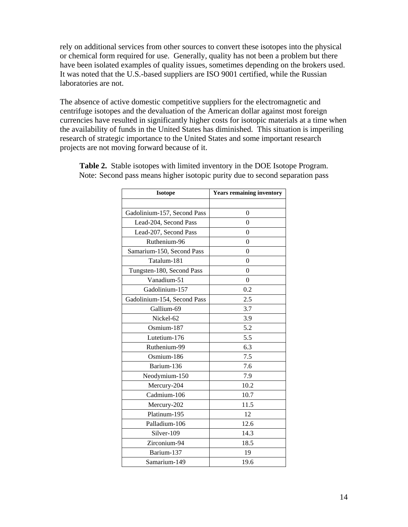rely on additional services from other sources to convert these isotopes into the physical or chemical form required for use. Generally, quality has not been a problem but there have been isolated examples of quality issues, sometimes depending on the brokers used. It was noted that the U.S.-based suppliers are ISO 9001 certified, while the Russian laboratories are not.

The absence of active domestic competitive suppliers for the electromagnetic and centrifuge isotopes and the devaluation of the American dollar against most foreign currencies have resulted in significantly higher costs for isotopic materials at a time when the availability of funds in the United States has diminished. This situation is imperiling research of strategic importance to the United States and some important research projects are not moving forward because of it.

| <b>Isotope</b>              | <b>Years remaining inventory</b> |
|-----------------------------|----------------------------------|
|                             |                                  |
| Gadolinium-157, Second Pass | $\overline{0}$                   |
| Lead-204, Second Pass       | $\theta$                         |
| Lead-207, Second Pass       | $\theta$                         |
| Ruthenium-96                | $\theta$                         |
| Samarium-150, Second Pass   | $\theta$                         |
| Tatalum-181                 | $\theta$                         |
| Tungsten-180, Second Pass   | $\theta$                         |
| Vanadium-51                 | $\theta$                         |
| Gadolinium-157              | 0.2                              |
| Gadolinium-154, Second Pass | 2.5                              |
| Gallium-69                  | 3.7                              |
| Nickel-62                   | 3.9                              |
| Osmium-187                  | 5.2                              |
| Lutetium-176                | 5.5                              |
| Ruthenium-99                | 6.3                              |
| Osmium-186                  | 7.5                              |
| Barium-136                  | 7.6                              |
| Neodymium-150               | 7.9                              |
| Mercury-204                 | 10.2                             |
| Cadmium-106                 | 10.7                             |
| Mercury-202                 | 11.5                             |
| Platinum-195                | 12                               |
| Palladium-106               | 12.6                             |
| Silver-109                  | 14.3                             |
| Zirconium-94                | 18.5                             |
| Barium-137                  | 19                               |
| Samarium-149                | 19.6                             |

**Table 2.** Stable isotopes with limited inventory in the DOE Isotope Program. Note: Second pass means higher isotopic purity due to second separation pass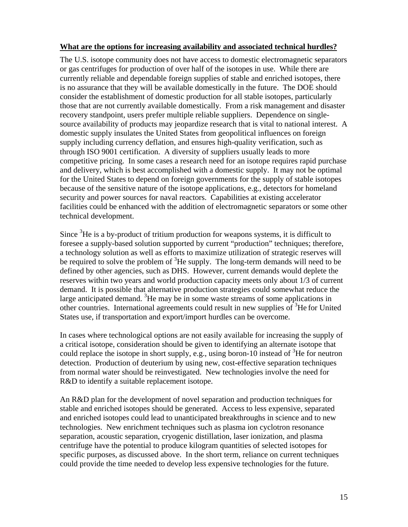### **What are the options for increasing availability and associated technical hurdles?**

The U.S. isotope community does not have access to domestic electromagnetic separators or gas centrifuges for production of over half of the isotopes in use. While there are currently reliable and dependable foreign supplies of stable and enriched isotopes, there is no assurance that they will be available domestically in the future. The DOE should consider the establishment of domestic production for all stable isotopes, particularly those that are not currently available domestically. From a risk management and disaster recovery standpoint, users prefer multiple reliable suppliers. Dependence on singlesource availability of products may jeopardize research that is vital to national interest. A domestic supply insulates the United States from geopolitical influences on foreign supply including currency deflation, and ensures high-quality verification, such as through ISO 9001 certification. A diversity of suppliers usually leads to more competitive pricing. In some cases a research need for an isotope requires rapid purchase and delivery, which is best accomplished with a domestic supply. It may not be optimal for the United States to depend on foreign governments for the supply of stable isotopes because of the sensitive nature of the isotope applications, e.g., detectors for homeland security and power sources for naval reactors. Capabilities at existing accelerator facilities could be enhanced with the addition of electromagnetic separators or some other technical development.

Since  ${}^{3}$ He is a by-product of tritium production for weapons systems, it is difficult to foresee a supply-based solution supported by current "production" techniques; therefore, a technology solution as well as efforts to maximize utilization of strategic reserves will be required to solve the problem of  ${}^{3}$ He supply. The long-term demands will need to be defined by other agencies, such as DHS. However, current demands would deplete the reserves within two years and world production capacity meets only about 1/3 of current demand. It is possible that alternative production strategies could somewhat reduce the large anticipated demand.  ${}^{3}$ He may be in some waste streams of some applications in other countries. International agreements could result in new supplies of <sup>3</sup>He for United States use, if transportation and export/import hurdles can be overcome.

In cases where technological options are not easily available for increasing the supply of a critical isotope, consideration should be given to identifying an alternate isotope that could replace the isotope in short supply, e.g., using boron-10 instead of  ${}^{3}$ He for neutron detection. Production of deuterium by using new, cost-effective separation techniques from normal water should be reinvestigated. New technologies involve the need for R&D to identify a suitable replacement isotope.

An R&D plan for the development of novel separation and production techniques for stable and enriched isotopes should be generated. Access to less expensive, separated and enriched isotopes could lead to unanticipated breakthroughs in science and to new technologies. New enrichment techniques such as plasma ion cyclotron resonance separation, acoustic separation, cryogenic distillation, laser ionization, and plasma centrifuge have the potential to produce kilogram quantities of selected isotopes for specific purposes, as discussed above. In the short term, reliance on current techniques could provide the time needed to develop less expensive technologies for the future.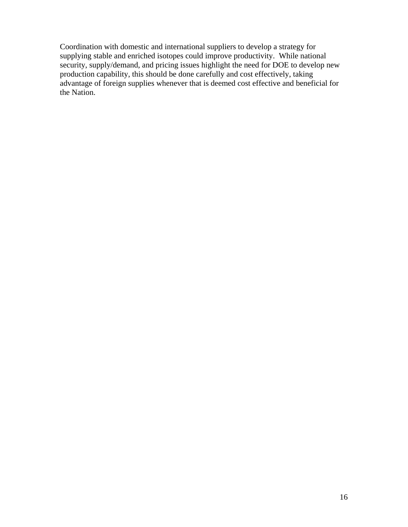Coordination with domestic and international suppliers to develop a strategy for supplying stable and enriched isotopes could improve productivity. While national security, supply/demand, and pricing issues highlight the need for DOE to develop new production capability, this should be done carefully and cost effectively, taking advantage of foreign supplies whenever that is deemed cost effective and beneficial for the Nation.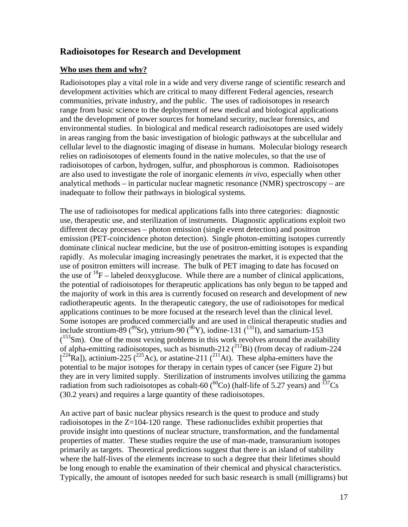## **Radioisotopes for Research and Development**

### **Who uses them and why?**

Radioisotopes play a vital role in a wide and very diverse range of scientific research and development activities which are critical to many different Federal agencies, research communities, private industry, and the public. The uses of radioisotopes in research range from basic science to the deployment of new medical and biological applications and the development of power sources for homeland security, nuclear forensics, and environmental studies. In biological and medical research radioisotopes are used widely in areas ranging from the basic investigation of biologic pathways at the subcellular and cellular level to the diagnostic imaging of disease in humans. Molecular biology research relies on radioisotopes of elements found in the native molecules, so that the use of radioisotopes of carbon, hydrogen, sulfur, and phosphorous is common. Radioisotopes are also used to investigate the role of inorganic elements *in vivo*, especially when other analytical methods – in particular nuclear magnetic resonance (NMR) spectroscopy – are inadequate to follow their pathways in biological systems.

The use of radioisotopes for medical applications falls into three categories: diagnostic use, therapeutic use, and sterilization of instruments. Diagnostic applications exploit two different decay processes – photon emission (single event detection) and positron emission (PET-coincidence photon detection). Single photon-emitting isotopes currently dominate clinical nuclear medicine, but the use of positron-emitting isotopes is expanding rapidly. As molecular imaging increasingly penetrates the market, it is expected that the use of positron emitters will increase. The bulk of PET imaging to date has focused on the use of  $^{18}F$  – labeled deoxyglucose. While there are a number of clinical applications, the potential of radioisotopes for therapeutic applications has only begun to be tapped and the majority of work in this area is currently focused on research and development of new radiotherapeutic agents. In the therapeutic category, the use of radioisotopes for medical applications continues to be more focused at the research level than the clinical level. Some isotopes are produced commercially and are used in clinical therapeutic studies and include strontium-89 ( ${}^{89}Sr$ ), yttrium-90 ( ${}^{90}Y$ ), iodine-131 ( ${}^{131}I$ ), and samarium-153  $(153$ Sm). One of the most vexing problems in this work revolves around the availability of alpha-emitting radioisotopes, such as bismuth-212  $(^{212}Bi)$  (from decay of radium-224  $[{}^{224}\text{Ra}]$ ), actinium-225 ( ${}^{225}\text{Ac}$ ), or astatine-211 ( ${}^{211}\text{At}$ ). These alpha-emitters have the potential to be major isotopes for therapy in certain types of cancer (see Figure 2) but they are in very limited supply. Sterilization of instruments involves utilizing the gamma radiation from such radioisotopes as cobalt-60 ( ${}^{60}Co$ ) (half-life of 5.27 years) and  ${}^{137}Cs$ (30.2 years) and requires a large quantity of these radioisotopes.

An active part of basic nuclear physics research is the quest to produce and study radioisotopes in the Z=104-120 range. These radionuclides exhibit properties that provide insight into questions of nuclear structure, transformation, and the fundamental properties of matter. These studies require the use of man-made, transuranium isotopes primarily as targets. Theoretical predictions suggest that there is an island of stability where the half-lives of the elements increase to such a degree that their lifetimes should be long enough to enable the examination of their chemical and physical characteristics. Typically, the amount of isotopes needed for such basic research is small (milligrams) but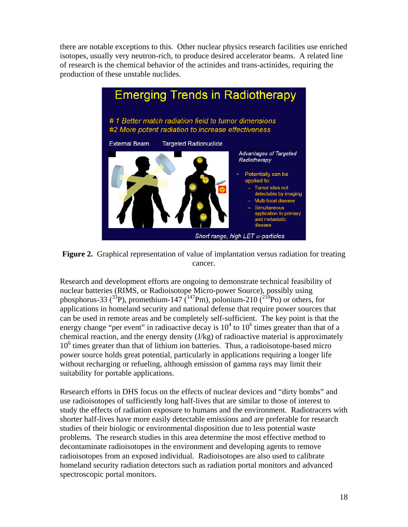there are notable exceptions to this. Other nuclear physics research facilities use enriched isotopes, usually very neutron-rich, to produce desired accelerator beams. A related line of research is the chemical behavior of the actinides and trans-actinides, requiring the production of these unstable nuclides.





Research and development efforts are ongoing to demonstrate technical feasibility of nuclear batteries (RIMS, or Radioisotope Micro-power Source), possibly using phosphorus-33 ( $^{33}P$ ), promethium-147 ( $^{147}Pm$ ), polonium-210 ( $^{210}Po$ ) or others, for applications in homeland security and national defense that require power sources that can be used in remote areas and be completely self-sufficient. The key point is that the energy change "per event" in radioactive decay is  $10^4$  to  $10^6$  times greater than that of a chemical reaction, and the energy density (J/kg) of radioactive material is approximately 10<sup>6</sup> times greater than that of lithium ion batteries. Thus, a radioisotope-based micro power source holds great potential, particularly in applications requiring a longer life without recharging or refueling, although emission of gamma rays may limit their suitability for portable applications.

Research efforts in DHS focus on the effects of nuclear devices and "dirty bombs" and use radioisotopes of sufficiently long half-lives that are similar to those of interest to study the effects of radiation exposure to humans and the environment. Radiotracers with shorter half-lives have more easily detectable emissions and are preferable for research studies of their biologic or environmental disposition due to less potential waste problems. The research studies in this area determine the most effective method to decontaminate radioisotopes in the environment and developing agents to remove radioisotopes from an exposed individual. Radioisotopes are also used to calibrate homeland security radiation detectors such as radiation portal monitors and advanced spectroscopic portal monitors.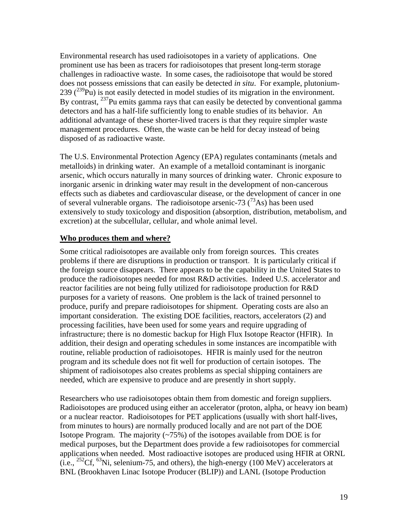Environmental research has used radioisotopes in a variety of applications. One prominent use has been as tracers for radioisotopes that present long-term storage challenges in radioactive waste. In some cases, the radioisotope that would be stored does not possess emissions that can easily be detected *in situ*. For example, plutonium-239  $(^{239}Pu)$  is not easily detected in model studies of its migration in the environment. By contrast,  $^{237}$ Pu emits gamma rays that can easily be detected by conventional gamma detectors and has a half-life sufficiently long to enable studies of its behavior. An additional advantage of these shorter-lived tracers is that they require simpler waste management procedures. Often, the waste can be held for decay instead of being disposed of as radioactive waste.

The U.S. Environmental Protection Agency (EPA) regulates contaminants (metals and metalloids) in drinking water. An example of a metalloid contaminant is inorganic arsenic, which occurs naturally in many sources of drinking water. Chronic exposure to inorganic arsenic in drinking water may result in the development of non-cancerous effects such as diabetes and cardiovascular disease, or the development of cancer in one of several vulnerable organs. The radioisotope arsenic-73  $(^{73}As)$  has been used extensively to study toxicology and disposition (absorption, distribution, metabolism, and excretion) at the subcellular, cellular, and whole animal level.

### **Who produces them and where?**

Some critical radioisotopes are available only from foreign sources. This creates problems if there are disruptions in production or transport. It is particularly critical if the foreign source disappears. There appears to be the capability in the United States to produce the radioisotopes needed for most R&D activities. Indeed U.S. accelerator and reactor facilities are not being fully utilized for radioisotope production for R&D purposes for a variety of reasons. One problem is the lack of trained personnel to produce, purify and prepare radioisotopes for shipment. Operating costs are also an important consideration. The existing DOE facilities, reactors, accelerators (2) and processing facilities, have been used for some years and require upgrading of infrastructure; there is no domestic backup for High Flux Isotope Reactor (HFIR). In addition, their design and operating schedules in some instances are incompatible with routine, reliable production of radioisotopes. HFIR is mainly used for the neutron program and its schedule does not fit well for production of certain isotopes. The shipment of radioisotopes also creates problems as special shipping containers are needed, which are expensive to produce and are presently in short supply.

Researchers who use radioisotopes obtain them from domestic and foreign suppliers. Radioisotopes are produced using either an accelerator (proton, alpha, or heavy ion beam) or a nuclear reactor. Radioisotopes for PET applications (usually with short half-lives, from minutes to hours) are normally produced locally and are not part of the DOE Isotope Program. The majority (~75%) of the isotopes available from DOE is for medical purposes, but the Department does provide a few radioisotopes for commercial applications when needed. Most radioactive isotopes are produced using HFIR at ORNL (i.e.,  ${}^{252}Cf, {}^{63}Ni$ , selenium-75, and others), the high-energy (100 MeV) accelerators at BNL (Brookhaven Linac Isotope Producer (BLIP)) and LANL (Isotope Production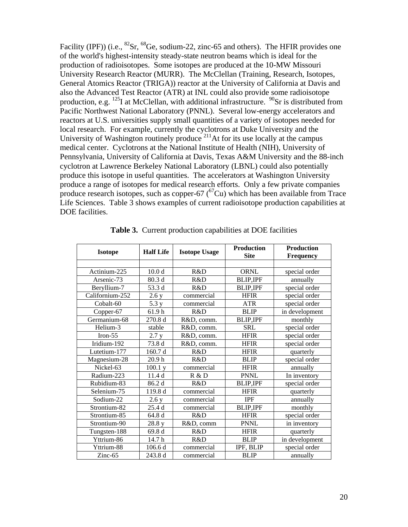Facility (IPF)) (i.e.,  ${}^{82}Sr$ ,  ${}^{68}Ge$ , sodium-22, zinc-65 and others). The HFIR provides one of the world's highest-intensity steady-state neutron beams which is ideal for the production of radioisotopes. Some isotopes are produced at the 10-MW Missouri University Research Reactor (MURR). The McClellan (Training, Research, Isotopes, General Atomics Reactor (TRIGA)) reactor at the University of California at Davis and also the Advanced Test Reactor (ATR) at INL could also provide some radioisotope production, e.g.  $^{125}$ I at McClellan, with additional infrastructure.  $^{90}$ Sr is distributed from Pacific Northwest National Laboratory (PNNL). Several low-energy accelerators and reactors at U.S. universities supply small quantities of a variety of isotopes needed for local research. For example, currently the cyclotrons at Duke University and the University of Washington routinely produce  $2^{11}$  At for its use locally at the campus medical center. Cyclotrons at the National Institute of Health (NIH), University of Pennsylvania, University of California at Davis, Texas A&M University and the 88-inch cyclotron at Lawrence Berkeley National Laboratory (LBNL) could also potentially produce this isotope in useful quantities. The accelerators at Washington University produce a range of isotopes for medical research efforts. Only a few private companies produce research isotopes, such as copper-67  $({}^{67}Cu)$  which has been available from Trace Life Sciences. Table 3 shows examples of current radioisotope production capabilities at DOE facilities.

| <b>Isotope</b>  | <b>Half Life</b>  | <b>Isotope Usage</b> | <b>Production</b><br><b>Site</b> | <b>Production</b><br><b>Frequency</b> |
|-----------------|-------------------|----------------------|----------------------------------|---------------------------------------|
|                 |                   |                      |                                  |                                       |
| Actinium-225    | 10.0 <sub>d</sub> | R&D                  | <b>ORNL</b>                      | special order                         |
| Arsenic-73      | 80.3 d            | R&D                  | <b>BLIP, IPF</b>                 | annually                              |
| Beryllium-7     | 53.3 d            | R&D                  | <b>BLIP, IPF</b>                 | special order                         |
| Californium-252 | 2.6 y             | commercial           | <b>HFIR</b>                      | special order                         |
| Cobalt-60       | 5.3 y             | commercial           | <b>ATR</b>                       | special order                         |
| Copper-67       | 61.9h             | R&D                  | <b>BLIP</b>                      | in development                        |
| Germanium-68    | 270.8 d           | R&D, comm.           | <b>BLIP,IPF</b>                  | monthly                               |
| Helium-3        | stable            | R&D, comm.           | <b>SRL</b>                       | special order                         |
| Iron $-55$      | 2.7 y             | R&D, comm.           | <b>HFIR</b>                      | special order                         |
| Iridium-192     | 73.8 d            | R&D, comm.           | <b>HFIR</b>                      | special order                         |
| Lutetium-177    | 160.7 d           | R&D                  | <b>HFIR</b>                      | quarterly                             |
| Magnesium-28    | 20.9 <sub>h</sub> | R&D                  | <b>BLIP</b>                      | special order                         |
| Nickel-63       | 100.1 y           | commercial           | <b>HFIR</b>                      | annually                              |
| Radium-223      | 11.4 d            | R & D                | <b>PNNL</b>                      | In inventory                          |
| Rubidium-83     | 86.2 d            | R&D                  | <b>BLIP,IPF</b>                  | special order                         |
| Selenium-75     | 119.8 d           | commercial           | <b>HFIR</b>                      | quarterly                             |
| Sodium-22       | 2.6y              | commercial           | <b>IPF</b>                       | annually                              |
| Strontium-82    | 25.4 d            | commercial           | <b>BLIP,IPF</b>                  | monthly                               |
| Strontium-85    | 64.8 d            | R&D                  | <b>HFIR</b>                      | special order                         |
| Strontium-90    | 28.8 y            | R&D, comm            | <b>PNNL</b>                      | in inventory                          |
| Tungsten-188    | 69.8 d            | R&D                  | <b>HFIR</b>                      | quarterly                             |
| Yttrium-86      | 14.7h             | R&D                  | <b>BLIP</b>                      | in development                        |
| Yttrium-88      | 106.6 d           | commercial           | IPF, BLIP                        | special order                         |
| $Zinc-65$       | 243.8 d           | commercial           | <b>BLIP</b>                      | annually                              |

**Table 3.** Current production capabilities at DOE facilities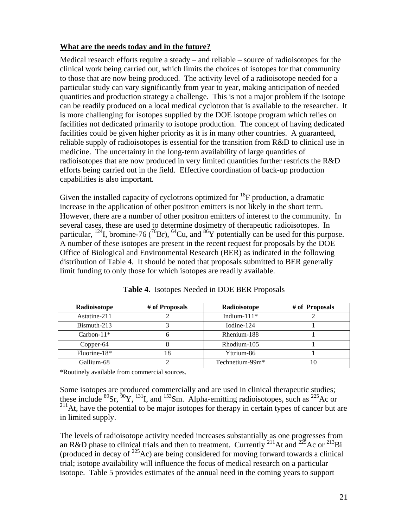### **What are the needs today and in the future?**

Medical research efforts require a steady – and reliable – source of radioisotopes for the clinical work being carried out, which limits the choices of isotopes for that community to those that are now being produced. The activity level of a radioisotope needed for a particular study can vary significantly from year to year, making anticipation of needed quantities and production strategy a challenge. This is not a major problem if the isotope can be readily produced on a local medical cyclotron that is available to the researcher. It is more challenging for isotopes supplied by the DOE isotope program which relies on facilities not dedicated primarily to isotope production. The concept of having dedicated facilities could be given higher priority as it is in many other countries. A guaranteed, reliable supply of radioisotopes is essential for the transition from R&D to clinical use in medicine. The uncertainty in the long-term availability of large quantities of radioisotopes that are now produced in very limited quantities further restricts the R&D efforts being carried out in the field. Effective coordination of back-up production capabilities is also important.

Given the installed capacity of cyclotrons optimized for  ${}^{18}$ F production, a dramatic increase in the application of other positron emitters is not likely in the short term. However, there are a number of other positron emitters of interest to the community. In several cases, these are used to determine dosimetry of therapeutic radioisotopes. In particular,  $^{124}$ I, bromine-76 ( $^{76}$ Br),  $^{64}$ Cu, and  $^{86}$ Y potentially can be used for this purpose. A number of these isotopes are present in the recent request for proposals by the DOE Office of Biological and Environmental Research (BER) as indicated in the following distribution of Table 4. It should be noted that proposals submitted to BER generally limit funding to only those for which isotopes are readily available.

| Radioisotope  | # of Proposals | Radioisotope    | # of Proposals |
|---------------|----------------|-----------------|----------------|
| Astatine-211  |                | Indium- $111*$  |                |
| Bismuth-213   |                | Iodine-124      |                |
| Carbon- $11*$ |                | Rhenium-188     |                |
| Copper-64     |                | Rhodium-105     |                |
| Fluorine-18*  | 18             | Yttrium-86      |                |
| Gallium-68    |                | Technetium-99m* |                |

**Table 4.** Isotopes Needed in DOE BER Proposals

\*Routinely available from commercial sources.

Some isotopes are produced commercially and are used in clinical therapeutic studies; these include  ${}^{89}Sr$ ,  ${}^{50}Y$ ,  ${}^{131}I$ , and  ${}^{153}Sm$ . Alpha-emitting radioisotopes, such as  ${}^{225}Ac$  or  $^{211}$ At, have the potential to be major isotopes for therapy in certain types of cancer but are in limited supply.

The levels of radioisotope activity needed increases substantially as one progresses from an R&D phase to clinical trials and then to treatment. Currently <sup>211</sup>At and <sup>225</sup>Ac or <sup>213</sup>Bi (produced in decay of  $^{225}$ Ac) are being considered for moving forward towards a clinical trial; isotope availability will influence the focus of medical research on a particular isotope. Table 5 provides estimates of the annual need in the coming years to support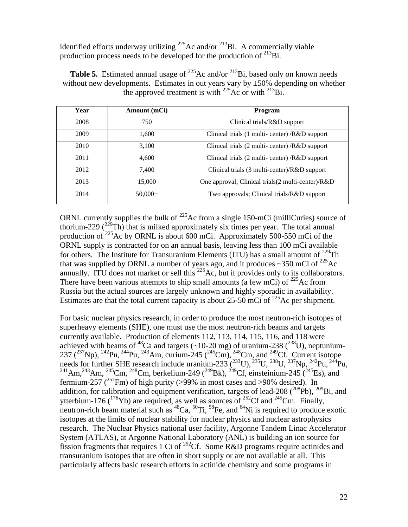identified efforts underway utilizing  $^{225}$ Ac and/or  $^{213}$ Bi. A commercially viable production process needs to be developed for the production of  $^{213}$ Bi.

**Table 5.** Estimated annual usage of <sup>225</sup>Ac and/or <sup>213</sup>Bi, based only on known needs without new developments. Estimates in out years vary by  $\pm 50\%$  depending on whether the approved treatment is with  $^{225}$ Ac or with  $^{213}$ Bi.

| Year | Amount (mCi) | <b>Program</b>                                          |
|------|--------------|---------------------------------------------------------|
| 2008 | 750          | Clinical trials/R&D support                             |
| 2009 | 1,600        | Clinical trials (1 multi- center) /R&D support          |
| 2010 | 3,100        | Clinical trials $(2 \text{ multi-center})$ /R&D support |
| 2011 | 4,600        | Clinical trials $(2 \text{ multi-center})$ /R&D support |
| 2012 | 7,400        | Clinical trials (3 multi-center)/R&D support            |
| 2013 | 15,000       | One approval; Clinical trials(2 multi-center)/R&D       |
| 2014 | $50,000+$    | Two approvals; Clinical trials/R&D support              |

ORNL currently supplies the bulk of  $^{225}$ Ac from a single 150-mCi (milliCuries) source of thorium-229  $(^{229}Th)$  that is milked approximately six times per year. The total annual production of  $225$  Ac by ORNL is about 600 mCi. Approximately 500-550 mCi of the ORNL supply is contracted for on an annual basis, leaving less than 100 mCi available for others. The Institute for Transuranium Elements (ITU) has a small amount of  $^{229}$ Th that was supplied by ORNL a number of years ago, and it produces  $\sim$ 350 mCi of  $^{225}$ Ac annually. ITU does not market or sell this  $^{225}$ Ac, but it provides only to its collaborators. There have been various attempts to ship small amounts (a few mCi) of  $^{225}$ Ac from Russia but the actual sources are largely unknown and highly sporadic in availability. Estimates are that the total current capacity is about 25-50 mCi of <sup>225</sup>Ac per shipment.

For basic nuclear physics research, in order to produce the most neutron-rich isotopes of superheavy elements (SHE), one must use the most neutron-rich beams and targets currently available. Production of elements 112, 113, 114, 115, 116, and 118 were achieved with beams of <sup>48</sup>Ca and targets (~10-20 mg) of uranium-238 (<sup>238</sup>U), neptunium-237 (<sup>237</sup>Np), <sup>242</sup>Pu, <sup>244</sup>Pu, <sup>243</sup>Am, curium-245 (<sup>245</sup>Cm), <sup>248</sup>Cm, and <sup>249</sup>Cf. Current isotope needs for further SHE research include uranium-233  $(^{233}U)$ ,  $^{235}U$ ,  $^{238}U$ ,  $^{237}Np$ ,  $^{242}Pu$ ,  $^{244}Pu$ , <sup>241</sup>Am,<sup>243</sup>Am,<sup>245</sup>Cm,<sup>248</sup>Cm, berkelium-249 (<sup>249</sup>Bk),<sup>249</sup>Cf, einsteinium-245 (<sup>245</sup>Es), and fermium-257 (<sup>257</sup>Fm) of high purity (>99% in most cases and >90% desired). In addition, for calibration and equipment verification, targets of lead-208  $(^{208}Pb)$ ,  $^{209}Bi$ , and ytterbium-176 ( $^{176}$ Yb) are required, as well as sources of  $^{252}$ Cf and  $^{245}$ Cm. Finally, neutron-rich beam material such as  ${}^{48}Ca$ ,  ${}^{50}Ti$ ,  ${}^{58}Fe$ , and  ${}^{64}Ni$  is required to produce exotic isotopes at the limits of nuclear stability for nuclear physics and nuclear astrophysics research. The Nuclear Physics national user facility, Argonne Tandem Linac Accelerator System (ATLAS), at Argonne National Laboratory (ANL) is building an ion source for fission fragments that requires 1 Ci of <sup>252</sup>Cf. Some R&D programs require actinides and transuranium isotopes that are often in short supply or are not available at all. This particularly affects basic research efforts in actinide chemistry and some programs in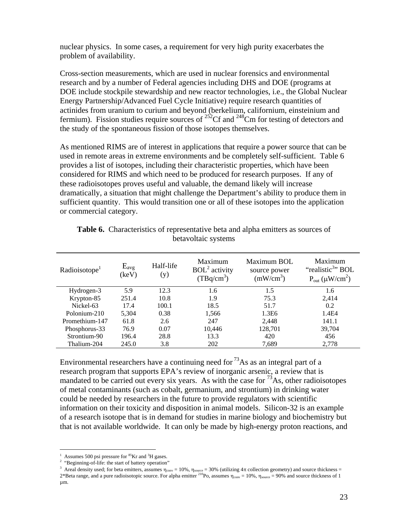nuclear physics. In some cases, a requirement for very high purity exacerbates the problem of availability.

Cross-section measurements, which are used in nuclear forensics and environmental research and by a number of Federal agencies including DHS and DOE (programs at DOE include stockpile stewardship and new reactor technologies, i.e., the Global Nuclear Energy Partnership/Advanced Fuel Cycle Initiative) require research quantities of actinides from uranium to curium and beyond (berkelium, californium, einsteinium and fermium). Fission studies require sources of  $^{252}$ Cf and  $^{248}$ Cm for testing of detectors and the study of the spontaneous fission of those isotopes themselves.

As mentioned RIMS are of interest in applications that require a power source that can be used in remote areas in extreme environments and be completely self-sufficient. Table 6 provides a list of isotopes, including their characteristic properties, which have been considered for RIMS and which need to be produced for research purposes. If any of these radioisotopes proves useful and valuable, the demand likely will increase dramatically, a situation that might challenge the Department's ability to produce them in sufficient quantity. This would transition one or all of these isotopes into the application or commercial category.

| Radioisotope <sup>1</sup> | $E_{avg}$<br>(keV) | Half-life<br>(y) | Maximum<br>$BOL2$ activity<br>$(TBq/cm^3)$ | Maximum BOL<br>source power<br>(mW/cm <sup>3</sup> ) | Maximum<br>"realistic <sup>3</sup> " BOL<br>$P_{out}$ ( $\mu$ W/cm <sup>2</sup> ) |
|---------------------------|--------------------|------------------|--------------------------------------------|------------------------------------------------------|-----------------------------------------------------------------------------------|
| Hydrogen-3                | 5.9                | 12.3             | 1.6                                        | 1.5                                                  | 1.6                                                                               |
| Krypton-85                | 251.4              | 10.8             | 1.9                                        | 75.3                                                 | 2.414                                                                             |
| Nickel-63                 | 17.4               | 100.1            | 18.5                                       | 51.7                                                 | 0.2                                                                               |
| Polonium-210              | 5.304              | 0.38             | 1,566                                      | 1.3E6                                                | 1.4E4                                                                             |
| Promethium-147            | 61.8               | 2.6              | 247                                        | 2,448                                                | 141.1                                                                             |
| Phosphorus-33             | 76.9               | 0.07             | 10,446                                     | 128,701                                              | 39,704                                                                            |
| Strontium-90              | 196.4              | 28.8             | 13.3                                       | 420                                                  | 456                                                                               |
| Thalium-204               | 245.0              | 3.8              | 202                                        | 7,689                                                | 2,778                                                                             |

| <b>Table 6.</b> Characteristics of representative beta and alpha emitters as sources of |
|-----------------------------------------------------------------------------------------|
| betavoltaic systems                                                                     |

Environmental researchers have a continuing need for  $^{73}$ As as an integral part of a research program that supports EPA's review of inorganic arsenic, a review that is mandated to be carried out every six years. As with the case for  $^{73}$ As, other radioisotopes of metal contaminants (such as cobalt, germanium, and strontium) in drinking water could be needed by researchers in the future to provide regulators with scientific information on their toxicity and disposition in animal models. Silicon-32 is an example of a research isotope that is in demand for studies in marine biology and biochemistry but that is not available worldwide. It can only be made by high-energy proton reactions, and

 1 Assumes 500 psi pressure for  ${}^{85}$ Kr and  ${}^{3}$ H gases. <sup>1</sup> Assumes 500 psi pressure for  ${}^{85}$ Kr and  ${}^{3}$ H gases.<br><sup>2</sup> "Beginning-of-life: the start of battery operation"

<sup>&</sup>lt;sup>3</sup> Areal density used; for beta emitters, assumes  $\eta_{conv} = 10\%$ ,  $\eta_{source} = 30\%$  (utilizing  $4\pi$  collection geometry) and source thickness =  $2*$ Beta range, and a pure radioisotopic source. For alpha emitter <sup>210</sup>Po, assumes  $\eta_{conv} = 10\%$ ,  $\eta_{source} = 90\%$  and source thickness of 1 µm.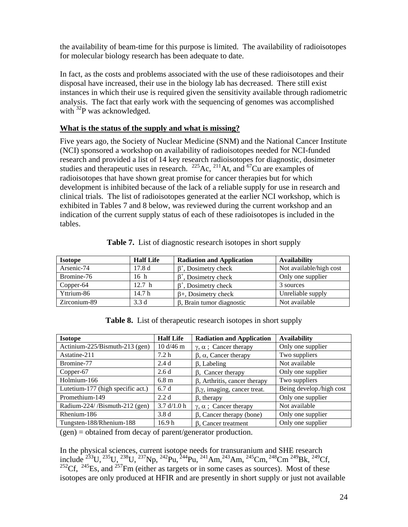the availability of beam-time for this purpose is limited. The availability of radioisotopes for molecular biology research has been adequate to date.

In fact, as the costs and problems associated with the use of these radioisotopes and their disposal have increased, their use in the biology lab has decreased. There still exist instances in which their use is required given the sensitivity available through radiometric analysis. The fact that early work with the sequencing of genomes was accomplished with  $^{32}P$  was acknowledged.

### **What is the status of the supply and what is missing?**

Five years ago, the Society of Nuclear Medicine (SNM) and the National Cancer Institute (NCI) sponsored a workshop on availability of radioisotopes needed for NCI-funded research and provided a list of 14 key research radioisotopes for diagnostic, dosimeter studies and therapeutic uses in research. <sup>225</sup>Ac, <sup>211</sup>At, and <sup>67</sup>Cu are examples of radioisotopes that have shown great promise for cancer therapies but for which development is inhibited because of the lack of a reliable supply for use in research and clinical trials. The list of radioisotopes generated at the earlier NCI workshop, which is exhibited in Tables 7 and 8 below, was reviewed during the current workshop and an indication of the current supply status of each of these radioisotopes is included in the tables.

| <b>Isotope</b> | <b>Half Life</b> | <b>Radiation and Application</b> | <b>Availability</b>     |
|----------------|------------------|----------------------------------|-------------------------|
| Arsenic-74     | 17.8d            | $\beta^*$ , Dosimetry check      | Not available/high cost |
| Bromine-76     | 16 <sub>h</sub>  | $\beta^*$ , Dosimetry check      | Only one supplier       |
| Copper-64      | 12.7 h           | $\beta^*$ , Dosimetry check      | 3 sources               |
| Yttrium-86     | 14.7 h           | $\beta$ +, Dosimetry check       | Unreliable supply       |
| Zirconium-89   | 3.3d             | $\beta$ , Brain tumor diagnostic | Not available           |

**Table 7.** List of diagnostic research isotopes in short supply

**Table 8.** List of therapeutic research isotopes in short supply

| <b>Isotope</b>                    | <b>Half Life</b>  | <b>Radiation and Application</b>         | <b>Availability</b>      |
|-----------------------------------|-------------------|------------------------------------------|--------------------------|
| Actinium-225/Bismuth-213 (gen)    | 10 d/46 m         | $\gamma$ , $\alpha$ ; Cancer therapy     | Only one supplier        |
| Astatine-211                      | 7.2 <sub>h</sub>  | $\beta$ , $\alpha$ , Cancer therapy      | Two suppliers            |
| Bromine-77                        | 2.4d              | $\beta$ , Labeling                       | Not available            |
| Copper-67                         | 2.6d              | $\beta$ , Cancer therapy                 | Only one supplier        |
| Holmium-166                       | 6.8 <sub>m</sub>  | $\beta$ , Arthritis, cancer therapy      | Two suppliers            |
| Lutetium-177 (high specific act.) | 6.7d              | $\beta, \gamma$ , imaging, cancer treat. | Being develop./high cost |
| Promethium-149                    | 2.2d              | $\beta$ , therapy                        | Only one supplier        |
| Radium-224//Bismuth-212 (gen)     | 3.7 d/1.0 h       | $\gamma$ , $\alpha$ ; Cancer therapy     | Not available            |
| Rhenium-186                       | 3.8d              | $\beta$ , Cancer therapy (bone)          | Only one supplier        |
| Tungsten-188/Rhenium-188          | 16.9 <sub>h</sub> | $\beta$ , Cancer treatment               | Only one supplier        |

 $(gen) = obtained from decay of parent/generator production.$ 

In the physical sciences, current isotope needs for transuranium and SHE research include <sup>233</sup>U, <sup>235</sup>U, <sup>233</sup>U, <sup>237</sup>Np, <sup>242</sup>Pu, <sup>244</sup>Pu, <sup>241</sup>Am, <sup>243</sup>Am, <sup>245</sup>Cm, <sup>248</sup>Cm<sup>249</sup>Bk, <sup>249</sup>Cf,  $252 \text{C}f$ ,  $245 \text{Es}$ , and  $257 \text{Fm}$  (either as targets or in some cases as sources). Most of these isotopes are only produced at HFIR and are presently in short supply or just not available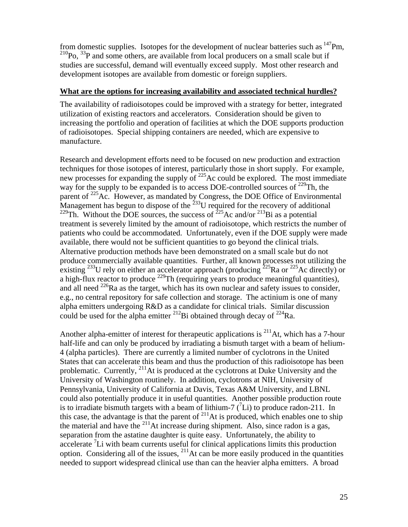from domestic supplies. Isotopes for the development of nuclear batteries such as  $147$ Pm,  $^{210}P_0$ ,  $^{33}P$  and some others, are available from local producers on a small scale but if studies are successful, demand will eventually exceed supply. Most other research and development isotopes are available from domestic or foreign suppliers.

### **What are the options for increasing availability and associated technical hurdles?**

The availability of radioisotopes could be improved with a strategy for better, integrated utilization of existing reactors and accelerators. Consideration should be given to increasing the portfolio and operation of facilities at which the DOE supports production of radioisotopes. Special shipping containers are needed, which are expensive to manufacture.

Research and development efforts need to be focused on new production and extraction techniques for those isotopes of interest, particularly those in short supply. For example, new processes for expanding the supply of <sup>225</sup>Ac could be explored. The most immediate way for the supply to be expanded is to access DOE-controlled sources of  $^{229}$ Th, the parent of  $225$ Ac. However, as mandated by Congress, the DOE Office of Environmental Management has begun to dispose of the  $^{233}U$  required for the recovery of additional <sup>229</sup>Th. Without the DOE sources, the success of <sup>225</sup>Ac and/or <sup>213</sup>Bi as a potential treatment is severely limited by the amount of radioisotope, which restricts the number of patients who could be accommodated. Unfortunately, even if the DOE supply were made available, there would not be sufficient quantities to go beyond the clinical trials. Alternative production methods have been demonstrated on a small scale but do not produce commercially available quantities. Further, all known processes not utilizing the existing <sup>233</sup>U rely on either an accelerator approach (producing  $225$ Ra or  $225$ Ac directly) or a high-flux reactor to produce  $^{229}$ Th (requiring years to produce meaningful quantities), and all need  $^{226}$ Ra as the target, which has its own nuclear and safety issues to consider, e.g., no central repository for safe collection and storage. The actinium is one of many alpha emitters undergoing R&D as a candidate for clinical trials. Similar discussion could be used for the alpha emitter <sup>212</sup>Bi obtained through decay of <sup>224</sup>Ra.

Another alpha-emitter of interest for therapeutic applications is  $^{211}$ At, which has a 7-hour half-life and can only be produced by irradiating a bismuth target with a beam of helium-4 (alpha particles). There are currently a limited number of cyclotrons in the United States that can accelerate this beam and thus the production of this radioisotope has been problematic. Currently, 211At is produced at the cyclotrons at Duke University and the University of Washington routinely. In addition, cyclotrons at NIH, University of Pennsylvania, University of California at Davis, Texas A&M University, and LBNL could also potentially produce it in useful quantities. Another possible production route is to irradiate bismuth targets with a beam of lithium-7  $(^{7}Li)$  to produce radon-211. In this case, the advantage is that the parent of  $^{211}$ At is produced, which enables one to ship the material and have the  $^{211}$ At increase during shipment. Also, since radon is a gas, separation from the astatine daughter is quite easy. Unfortunately, the ability to accelerate <sup>7</sup>Li with beam currents useful for clinical applications limits this production option. Considering all of the issues,  $^{211}$ At can be more easily produced in the quantities needed to support widespread clinical use than can the heavier alpha emitters. A broad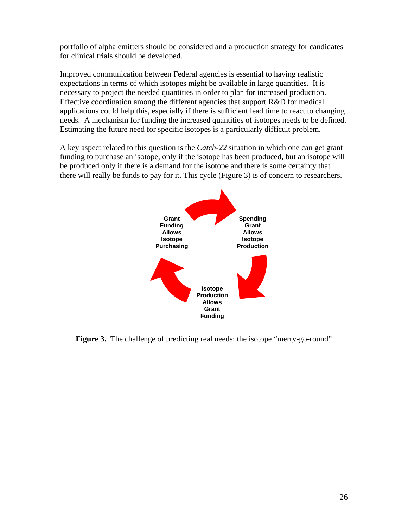portfolio of alpha emitters should be considered and a production strategy for candidates for clinical trials should be developed.

Improved communication between Federal agencies is essential to having realistic expectations in terms of which isotopes might be available in large quantities. It is necessary to project the needed quantities in order to plan for increased production. Effective coordination among the different agencies that support R&D for medical applications could help this, especially if there is sufficient lead time to react to changing needs. A mechanism for funding the increased quantities of isotopes needs to be defined. Estimating the future need for specific isotopes is a particularly difficult problem.

A key aspect related to this question is the *Catch-22* situation in which one can get grant funding to purchase an isotope, only if the isotope has been produced, but an isotope will be produced only if there is a demand for the isotope and there is some certainty that there will really be funds to pay for it. This cycle (Figure 3) is of concern to researchers.



**Figure 3.** The challenge of predicting real needs: the isotope "merry-go-round"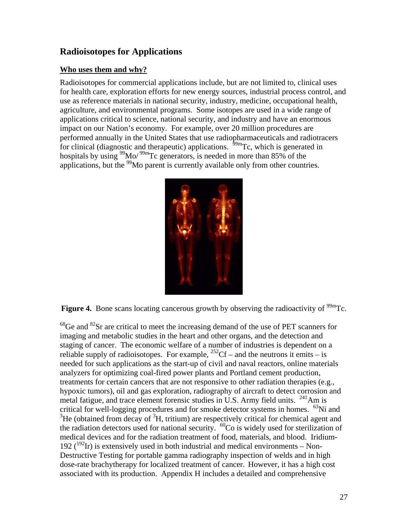# **Radioisotopes for Applications**

### **Who uses them and why?**

Radioisotopes for commercial applications include, but are not limited to, clinical uses for health care, exploration efforts for new energy sources, industrial process control, and use as reference materials in national security, industry, medicine, occupational health, agriculture, and environmental programs. Some isotopes are used in a wide range of applications critical to science, national security, and industry and have an enormous impact on our Nation's economy. For example, over 20 million procedures are performed annually in the United States that use radiopharmaceuticals and radiotracers for clinical (diagnostic and therapeutic) applications.  $\frac{59 \text{m}}{2}$ Tc, which is generated in hospitals by using  $\frac{99}{9}$ Mo/ $\frac{99}{2}$ Tc generators, is needed in more than 85% of the applications, but the <sup>99</sup>Mo parent is currently available only from other countries.



**Figure 4.** Bone scans locating cancerous growth by observing the radioactivity of <sup>99m</sup>Tc.

 $^{68}$ Ge and  $^{82}$ Sr are critical to meet the increasing demand of the use of PET scanners for imaging and metabolic studies in the heart and other organs, and the detection and staging of cancer. The economic welfare of a number of industries is dependent on a reliable supply of radioisotopes. For example,  ${}^{252}$ Cf – and the neutrons it emits – is needed for such applications as the start-up of civil and naval reactors, online materials analyzers for optimizing coal-fired power plants and Portland cement production, treatments for certain cancers that are not responsive to other radiation therapies (e.g., hypoxic tumors), oil and gas exploration, radiography of aircraft to detect corrosion and metal fatigue, and trace element forensic studies in U.S. Army field units. <sup>241</sup>Am is critical for well-logging procedures and for smoke detector systems in homes.  $^{63}$ Ni and  ${}^{3}$ He (obtained from decay of  ${}^{3}$ H, tritium) are respectively critical for chemical agent and the radiation detectors used for national security.  $^{60}$ Co is widely used for sterilization of medical devices and for the radiation treatment of food, materials, and blood. Iridium-192 ( $^{192}$ Ir) is extensively used in both industrial and medical environments – Non-Destructive Testing for portable gamma radiography inspection of welds and in high dose-rate brachytherapy for localized treatment of cancer. However, it has a high cost associated with its production. Appendix H includes a detailed and comprehensive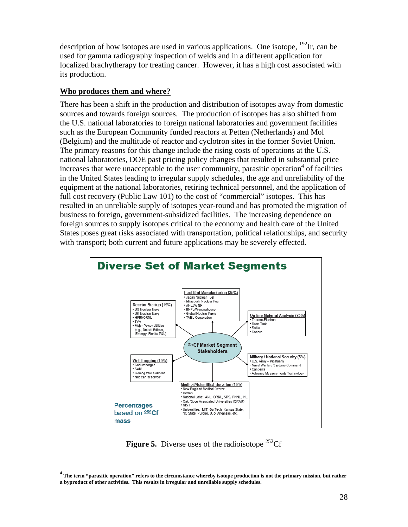description of how isotopes are used in various applications. One isotope,  $^{192}$ Ir, can be used for gamma radiography inspection of welds and in a different application for localized brachytherapy for treating cancer. However, it has a high cost associated with its production.

### **Who produces them and where?**

There has been a shift in the production and distribution of isotopes away from domestic sources and towards foreign sources. The production of isotopes has also shifted from the U.S. national laboratories to foreign national laboratories and government facilities such as the European Community funded reactors at Petten (Netherlands) and Mol (Belgium) and the multitude of reactor and cyclotron sites in the former Soviet Union. The primary reasons for this change include the rising costs of operations at the U.S. national laboratories, DOE past pricing policy changes that resulted in substantial price increases that were unacceptable to the user community, parasitic operation<sup>4</sup> of facilities in the United States leading to irregular supply schedules, the age and unreliability of the equipment at the national laboratories, retiring technical personnel, and the application of full cost recovery (Public Law 101) to the cost of "commercial" isotopes. This has resulted in an unreliable supply of isotopes year-round and has promoted the migration of business to foreign, government-subsidized facilities. The increasing dependence on foreign sources to supply isotopes critical to the economy and health care of the United States poses great risks associated with transportation, political relationships, and security with transport; both current and future applications may be severely effected.



**Figure 5.** Diverse uses of the radioisotope  $^{252}$ Cf

**<sup>4</sup> The term "parasitic operation" refers to the circumstance whereby isotope production is not the primary mission, but rather a byproduct of other activities. This results in irregular and unreliable supply schedules.**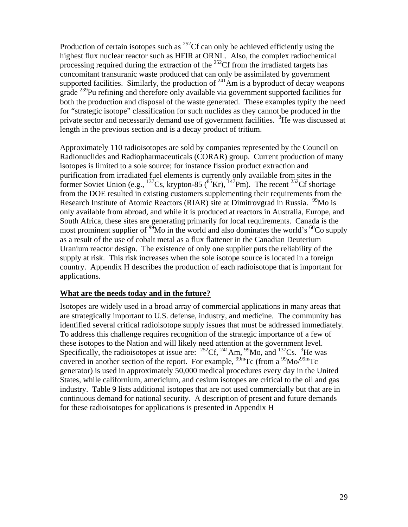Production of certain isotopes such as  $^{252}$ Cf can only be achieved efficiently using the highest flux nuclear reactor such as HFIR at ORNL. Also, the complex radiochemical processing required during the extraction of the  $^{252}$ Cf from the irradiated targets has concomitant transuranic waste produced that can only be assimilated by government supported facilities. Similarly, the production of  $^{241}$ Am is a byproduct of decay weapons grade 239Pu refining and therefore only available via government supported facilities for both the production and disposal of the waste generated. These examples typify the need for "strategic isotope" classification for such nuclides as they cannot be produced in the private sector and necessarily demand use of government facilities. <sup>3</sup>He was discussed at length in the previous section and is a decay product of tritium.

Approximately 110 radioisotopes are sold by companies represented by the Council on Radionuclides and Radiopharmaceuticals (CORAR) group. Current production of many isotopes is limited to a sole source; for instance fission product extraction and purification from irradiated fuel elements is currently only available from sites in the former Soviet Union (e.g.,  $^{137}Cs$ , krypton-85 ( $^{85}Kr$ ),  $^{147}Pm$ ). The recent  $^{252}Cf$  shortage from the DOE resulted in existing customers supplementing their requirements from the Research Institute of Atomic Reactors (RIAR) site at Dimitrovgrad in Russia. <sup>99</sup>Mo is only available from abroad, and while it is produced at reactors in Australia, Europe, and South Africa, these sites are generating primarily for local requirements. Canada is the most prominent supplier of  $\frac{99}{9}$ Mo in the world and also dominates the world's  $\frac{60}{6}$ Co supply as a result of the use of cobalt metal as a flux flattener in the Canadian Deuterium Uranium reactor design. The existence of only one supplier puts the reliability of the supply at risk. This risk increases when the sole isotope source is located in a foreign country. Appendix H describes the production of each radioisotope that is important for applications.

### **What are the needs today and in the future?**

Isotopes are widely used in a broad array of commercial applications in many areas that are strategically important to U.S. defense, industry, and medicine. The community has identified several critical radioisotope supply issues that must be addressed immediately. To address this challenge requires recognition of the strategic importance of a few of these isotopes to the Nation and will likely need attention at the government level. Specifically, the radioisotopes at issue are:  $^{252}$ Cf,  $^{241}$ Am,  $^{99}$ Mo, and  $^{137}$ Cs.  $^{3}$ He was covered in another section of the report. For example,  $\frac{99 \text{m}}{2}$ Tc (from a  $\frac{99 \text{Mo}}{99 \text{m}}$ Tc generator) is used in approximately 50,000 medical procedures every day in the United States, while californium, americium, and cesium isotopes are critical to the oil and gas industry. Table 9 lists additional isotopes that are not used commercially but that are in continuous demand for national security. A description of present and future demands for these radioisotopes for applications is presented in Appendix H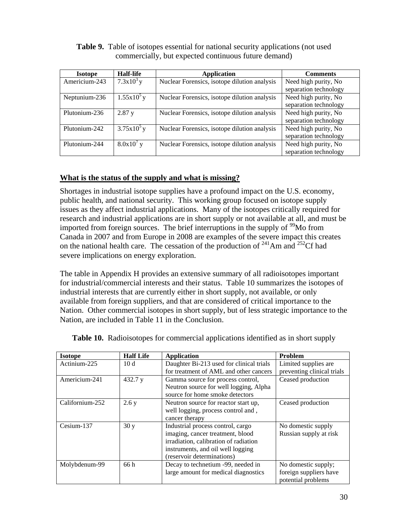| <b>Isotope</b> | Half-life    | Application                                  | <b>Comments</b>       |
|----------------|--------------|----------------------------------------------|-----------------------|
| Americium-243  | $7.3x10^3y$  | Nuclear Forensics, isotope dilution analysis | Need high purity, No  |
|                |              |                                              | separation technology |
| Neptunium-236  | $1.55x10^5y$ | Nuclear Forensics, isotope dilution analysis | Need high purity, No  |
|                |              |                                              | separation technology |
| Plutonium-236  | 2.87y        | Nuclear Forensics, isotope dilution analysis | Need high purity, No  |
|                |              |                                              | separation technology |
| Plutonium-242  | $3.75x10^5y$ | Nuclear Forensics, isotope dilution analysis | Need high purity, No  |
|                |              |                                              | separation technology |
| Plutonium-244  | $8.0x10^7$ y | Nuclear Forensics, isotope dilution analysis | Need high purity, No  |
|                |              |                                              | separation technology |

**Table 9.** Table of isotopes essential for national security applications (not used commercially, but expected continuous future demand)

### **What is the status of the supply and what is missing?**

Shortages in industrial isotope supplies have a profound impact on the U.S. economy, public health, and national security. This working group focused on isotope supply issues as they affect industrial applications. Many of the isotopes critically required for research and industrial applications are in short supply or not available at all, and must be imported from foreign sources. The brief interruptions in the supply of  $\frac{99}{9}$ Mo from Canada in 2007 and from Europe in 2008 are examples of the severe impact this creates on the national health care. The cessation of the production of  $^{241}$ Am and  $^{252}$ Cf had severe implications on energy exploration.

The table in Appendix H provides an extensive summary of all radioisotopes important for industrial/commercial interests and their status. Table 10 summarizes the isotopes of industrial interests that are currently either in short supply, not available, or only available from foreign suppliers, and that are considered of critical importance to the Nation. Other commercial isotopes in short supply, but of less strategic importance to the Nation, are included in Table 11 in the Conclusion.

| <b>Isotope</b>  | <b>Half Life</b> | <b>Application</b>                       | Problem                    |
|-----------------|------------------|------------------------------------------|----------------------------|
| Actinium-225    | 10d              | Daughter Bi-213 used for clinical trials | Limited supplies are       |
|                 |                  | for treatment of AML and other cancers   | preventing clinical trials |
| Americium-241   | 432.7 y          | Gamma source for process control,        | Ceased production          |
|                 |                  | Neutron source for well logging, Alpha   |                            |
|                 |                  | source for home smoke detectors          |                            |
| Californium-252 | 2.6y             | Neutron source for reactor start up,     | Ceased production          |
|                 |                  | well logging, process control and,       |                            |
|                 |                  | cancer therapy                           |                            |
| Cesium-137      | 30y              | Industrial process control, cargo        | No domestic supply         |
|                 |                  | imaging, cancer treatment, blood         | Russian supply at risk     |
|                 |                  | irradiation, calibration of radiation    |                            |
|                 |                  | instruments, and oil well logging        |                            |
|                 |                  | (reservoir determinations)               |                            |
| Molybdenum-99   | 66 h             | Decay to technetium -99, needed in       | No domestic supply;        |
|                 |                  | large amount for medical diagnostics     | foreign suppliers have     |
|                 |                  |                                          | potential problems         |

**Table 10.** Radioisotopes for commercial applications identified as in short supply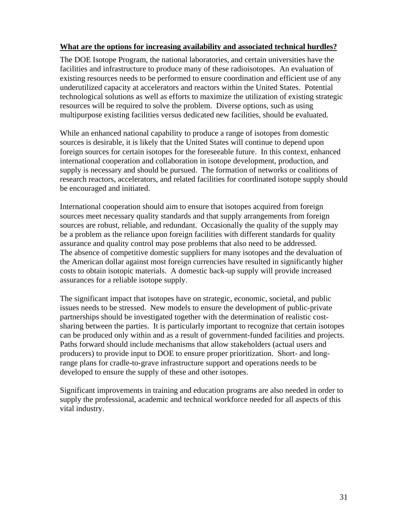### **What are the options for increasing availability and associated technical hurdles?**

The DOE Isotope Program, the national laboratories, and certain universities have the facilities and infrastructure to produce many of these radioisotopes. An evaluation of existing resources needs to be performed to ensure coordination and efficient use of any underutilized capacity at accelerators and reactors within the United States. Potential technological solutions as well as efforts to maximize the utilization of existing strategic resources will be required to solve the problem. Diverse options, such as using multipurpose existing facilities versus dedicated new facilities, should be evaluated.

While an enhanced national capability to produce a range of isotopes from domestic sources is desirable, it is likely that the United States will continue to depend upon foreign sources for certain isotopes for the foreseeable future. In this context, enhanced international cooperation and collaboration in isotope development, production, and supply is necessary and should be pursued. The formation of networks or coalitions of research reactors, accelerators, and related facilities for coordinated isotope supply should be encouraged and initiated.

International cooperation should aim to ensure that isotopes acquired from foreign sources meet necessary quality standards and that supply arrangements from foreign sources are robust, reliable, and redundant. Occasionally the quality of the supply may be a problem as the reliance upon foreign facilities with different standards for quality assurance and quality control may pose problems that also need to be addressed. The absence of competitive domestic suppliers for many isotopes and the devaluation of the American dollar against most foreign currencies have resulted in significantly higher costs to obtain isotopic materials. A domestic back-up supply will provide increased assurances for a reliable isotope supply.

The significant impact that isotopes have on strategic, economic, societal, and public issues needs to be stressed. New models to ensure the development of public-private partnerships should be investigated together with the determination of realistic costsharing between the parties. It is particularly important to recognize that certain isotopes can be produced only within and as a result of government-funded facilities and projects. Paths forward should include mechanisms that allow stakeholders (actual users and producers) to provide input to DOE to ensure proper prioritization. Short- and longrange plans for cradle-to-grave infrastructure support and operations needs to be developed to ensure the supply of these and other isotopes.

Significant improvements in training and education programs are also needed in order to supply the professional, academic and technical workforce needed for all aspects of this vital industry.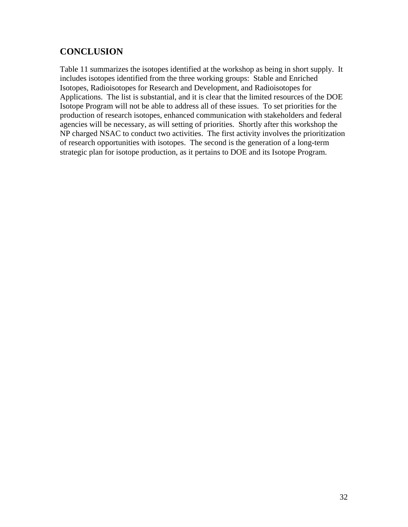# **CONCLUSION**

Table 11 summarizes the isotopes identified at the workshop as being in short supply. It includes isotopes identified from the three working groups: Stable and Enriched Isotopes, Radioisotopes for Research and Development, and Radioisotopes for Applications. The list is substantial, and it is clear that the limited resources of the DOE Isotope Program will not be able to address all of these issues. To set priorities for the production of research isotopes, enhanced communication with stakeholders and federal agencies will be necessary, as will setting of priorities. Shortly after this workshop the NP charged NSAC to conduct two activities. The first activity involves the prioritization of research opportunities with isotopes. The second is the generation of a long-term strategic plan for isotope production, as it pertains to DOE and its Isotope Program.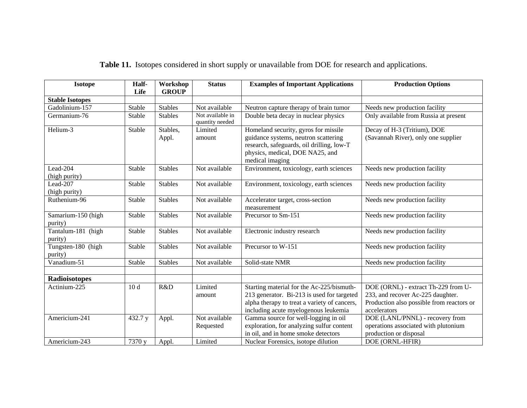| <b>Isotope</b>                | Half-<br>Life   | Workshop<br><b>GROUP</b> | <b>Status</b>                       | <b>Examples of Important Applications</b>                                                                                                                                       | <b>Production Options</b>                                                                                                             |
|-------------------------------|-----------------|--------------------------|-------------------------------------|---------------------------------------------------------------------------------------------------------------------------------------------------------------------------------|---------------------------------------------------------------------------------------------------------------------------------------|
| <b>Stable Isotopes</b>        |                 |                          |                                     |                                                                                                                                                                                 |                                                                                                                                       |
| Gadolinium-157                | Stable          | <b>Stables</b>           | Not available                       | Neutron capture therapy of brain tumor                                                                                                                                          | Needs new production facility                                                                                                         |
| Germanium-76                  | Stable          | <b>Stables</b>           | Not available in<br>quantity needed | Double beta decay in nuclear physics                                                                                                                                            | Only available from Russia at present                                                                                                 |
| Helium-3                      | Stable          | Stables,<br>Appl.        | Limited<br>amount                   | Homeland security, gyros for missile<br>guidance systems, neutron scattering<br>research, safeguards, oil drilling, low-T<br>physics, medical, DOE NA25, and<br>medical imaging | Decay of H-3 (Tritium), DOE<br>(Savannah River), only one supplier                                                                    |
| Lead-204<br>(high purity)     | Stable          | <b>Stables</b>           | Not available                       | Environment, toxicology, earth sciences                                                                                                                                         | Needs new production facility                                                                                                         |
| Lead-207<br>(high purity)     | Stable          | <b>Stables</b>           | Not available                       | Environment, toxicology, earth sciences                                                                                                                                         | Needs new production facility                                                                                                         |
| Ruthenium-96                  | Stable          | <b>Stables</b>           | Not available                       | Accelerator target, cross-section<br>measurement                                                                                                                                | Needs new production facility                                                                                                         |
| Samarium-150 (high<br>purity) | Stable          | <b>Stables</b>           | Not available                       | Precursor to Sm-151                                                                                                                                                             | Needs new production facility                                                                                                         |
| Tantalum-181 (high<br>purity) | Stable          | <b>Stables</b>           | Not available                       | Electronic industry research                                                                                                                                                    | Needs new production facility                                                                                                         |
| Tungsten-180 (high<br>purity) | Stable          | <b>Stables</b>           | Not available                       | Precursor to W-151                                                                                                                                                              | Needs new production facility                                                                                                         |
| Vanadium-51                   | Stable          | <b>Stables</b>           | Not available                       | Solid-state NMR                                                                                                                                                                 | Needs new production facility                                                                                                         |
| <b>Radioisotopes</b>          |                 |                          |                                     |                                                                                                                                                                                 |                                                                                                                                       |
| Actinium-225                  | 10 <sub>d</sub> | R&D                      | Limited<br>amount                   | Starting material for the Ac-225/bismuth-<br>213 generator. Bi-213 is used for targeted<br>alpha therapy to treat a variety of cancers,<br>including acute myelogenous leukemia | DOE (ORNL) - extract Th-229 from U-<br>233, and recover Ac-225 daughter.<br>Production also possible from reactors or<br>accelerators |
| Americium-241                 | 432.7 y         | Appl.                    | Not available<br>Requested          | Gamma source for well-logging in oil<br>exploration, for analyzing sulfur content<br>in oil, and in home smoke detectors                                                        | DOE (LANL/PNNL) - recovery from<br>operations associated with plutonium<br>production or disposal                                     |
| Americium-243                 | 7370 y          | Appl.                    | Limited                             | Nuclear Forensics, isotope dilution                                                                                                                                             | DOE (ORNL-HFIR)                                                                                                                       |

**Table 11.** Isotopes considered in short supply or unavailable from DOE for research and applications.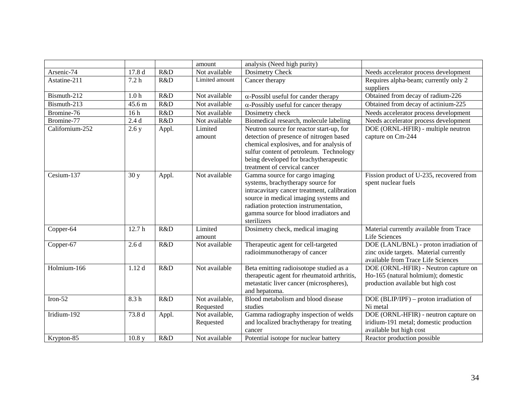|                 |                  |       | amount                      | analysis (Need high purity)                                                                                                                                                                                                                                   |                                                                                                                        |
|-----------------|------------------|-------|-----------------------------|---------------------------------------------------------------------------------------------------------------------------------------------------------------------------------------------------------------------------------------------------------------|------------------------------------------------------------------------------------------------------------------------|
| Arsenic-74      | 17.8 d           | R&D   | Not available               | Dosimetry Check                                                                                                                                                                                                                                               | Needs accelerator process development                                                                                  |
| Astatine-211    | 7.2 <sub>h</sub> | R&D   | Limited amount              | Cancer therapy                                                                                                                                                                                                                                                | Requires alpha-beam; currently only 2<br>suppliers                                                                     |
| Bismuth-212     | 1.0 <sub>h</sub> | R&D   | Not available               | $\alpha$ -Possibl useful for cander therapy                                                                                                                                                                                                                   | Obtained from decay of radium-226                                                                                      |
| Bismuth-213     | 45.6 m           | R&D   | Not available               | $\alpha$ -Possibly useful for cancer therapy                                                                                                                                                                                                                  | Obtained from decay of actinium-225                                                                                    |
| Bromine-76      | 16h              | R&D   | Not available               | Dosimetry check                                                                                                                                                                                                                                               | Needs accelerator process development                                                                                  |
| Bromine-77      | 2.4d             | R&D   | Not available               | Biomedical research, molecule labeling                                                                                                                                                                                                                        | Needs accelerator process development                                                                                  |
| Californium-252 | 2.6 y            | Appl. | Limited<br>amount           | Neutron source for reactor start-up, for<br>detection of presence of nitrogen based<br>chemical explosives, and for analysis of<br>sulfur content of petroleum. Technology<br>being developed for brachytherapeutic<br>treatment of cervical cancer           | DOE (ORNL-HFIR) - multiple neutron<br>capture on Cm-244                                                                |
| Cesium-137      | 30y              | Appl. | Not available               | Gamma source for cargo imaging<br>systems, brachytherapy source for<br>intracavitary cancer treatment, calibration<br>source in medical imaging systems and<br>radiation protection instrumentation,<br>gamma source for blood irradiators and<br>sterilizers | Fission product of U-235, recovered from<br>spent nuclear fuels                                                        |
| Copper-64       | 12.7h            | R&D   | Limited<br>amount           | Dosimetry check, medical imaging                                                                                                                                                                                                                              | Material currently available from Trace<br>Life Sciences                                                               |
| Copper-67       | 2.6d             | R&D   | Not available               | Therapeutic agent for cell-targeted<br>radioimmunotherapy of cancer                                                                                                                                                                                           | DOE (LANL/BNL) - proton irradiation of<br>zinc oxide targets. Material currently<br>available from Trace Life Sciences |
| Holmium-166     | 1.12d            | R&D   | Not available               | Beta emitting radioisotope studied as a<br>therapeutic agent for rheumatoid arthritis,<br>metastatic liver cancer (microspheres),<br>and hepatoma.                                                                                                            | DOE (ORNL-HFIR) - Neutron capture on<br>Ho-165 (natural holmium); domestic<br>production available but high cost       |
| Iron- $52$      | 8.3h             | R&D   | Not available,<br>Requested | Blood metabolism and blood disease<br>studies                                                                                                                                                                                                                 | DOE (BLIP/IPF) – proton irradiation of<br>Ni metal                                                                     |
| Iridium-192     | 73.8 d           | Appl. | Not available,<br>Requested | Gamma radiography inspection of welds<br>and localized brachytherapy for treating<br>cancer                                                                                                                                                                   | DOE (ORNL-HFIR) - neutron capture on<br>iridium-191 metal; domestic production<br>available but high cost              |
| Krypton-85      | 10.8 y           | R&D   | Not available               | Potential isotope for nuclear battery                                                                                                                                                                                                                         | Reactor production possible                                                                                            |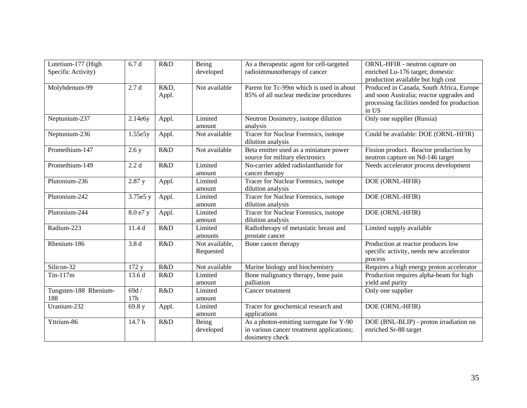| Lutetium-177 (High<br>Specific Activity) | 6.7d             | R&D           | Being<br>developed          | As a therapeutic agent for cell-targeted<br>radioimmunotherapy of cancer                                | ORNL-HFIR - neutron capture on<br>enriched Lu-176 target; domestic<br>production available but high cost                                     |
|------------------------------------------|------------------|---------------|-----------------------------|---------------------------------------------------------------------------------------------------------|----------------------------------------------------------------------------------------------------------------------------------------------|
| Molybdenum-99                            | 2.7d             | R&D,<br>Appl. | Not available               | Parent for Tc-99m which is used in about<br>85% of all nuclear medicine procedures                      | Produced in Canada, South Africa, Europe<br>and soon Australia; reactor upgrades and<br>processing facilities needed for production<br>in US |
| Neptunium-237                            | 2.14e6y          | Appl.         | Limited<br>amount           | Neutron Dosimetry, isotope dilution<br>analysis                                                         | Only one supplier (Russia)                                                                                                                   |
| Neptunium-236                            | 1.55e5y          | Appl.         | Not available               | Tracer for Nuclear Forensics, isotope<br>dilution analysis                                              | Could be available: DOE (ORNL-HFIR)                                                                                                          |
| Promethium-147                           | 2.6 y            | R&D           | Not available               | Beta emitter used as a miniature power<br>source for military electronics                               | Fission product. Reactor production by<br>neutron capture on Nd-146 target                                                                   |
| Promethium-149                           | 2.2d             | R&D           | Limited<br>amount           | No-carrier added radiolanthanide for<br>cancer therapy                                                  | Needs accelerator process development                                                                                                        |
| Plutonium-236                            | 2.87 y           | Appl.         | Limited<br>amount           | Tracer for Nuclear Forensics, isotope<br>dilution analysis                                              | DOE (ORNL-HFIR)                                                                                                                              |
| Plutonium-242                            | 3.75e5 y         | Appl.         | Limited<br>amount           | Tracer for Nuclear Forensics, isotope<br>dilution analysis                                              | DOE (ORNL-HFIR)                                                                                                                              |
| Plutonium-244                            | 8.0 e7 y         | Appl.         | Limited<br>amount           | Tracer for Nuclear Forensics, isotope<br>dilution analysis                                              | DOE (ORNL-HFIR)                                                                                                                              |
| Radium-223                               | 11.4d            | R&D           | Limited<br>amounts          | Radiotherapy of metastatic breast and<br>prostate cancer                                                | Limited supply available                                                                                                                     |
| Rhenium-186                              | 3.8 <sub>d</sub> | R&D           | Not available,<br>Requested | Bone cancer therapy                                                                                     | Production at reactor produces low<br>specific activity, needs new accelerator<br>process                                                    |
| Silicon-32                               | 172 y            | R&D           | Not available               | Marine biology and biochemistry                                                                         | Requires a high energy proton accelerator                                                                                                    |
| $Tin-117m$                               | 13.6d            | R&D           | Limited<br>amount           | Bone malignancy therapy, bone pain<br>palliation                                                        | Production requires alpha-beam for high<br>yield and purity                                                                                  |
| Tungsten-188 Rhenium-<br>188             | 69d/<br>17h      | R&D           | Limited<br>amount           | Cancer treatment                                                                                        | Only one supplier                                                                                                                            |
| Uranium-232                              | 69.8 y           | Appl.         | Limited<br>amount           | Tracer for geochemical research and<br>applications                                                     | DOE (ORNL-HFIR)                                                                                                                              |
| Yttrium-86                               | 14.7 h           | R&D           | Being<br>developed          | As a photon-emitting surrogate for Y-90<br>in various cancer treatment applications;<br>dosimetry check | DOE (BNL-BLIP) - proton irradiation on<br>enriched Sr-88 target                                                                              |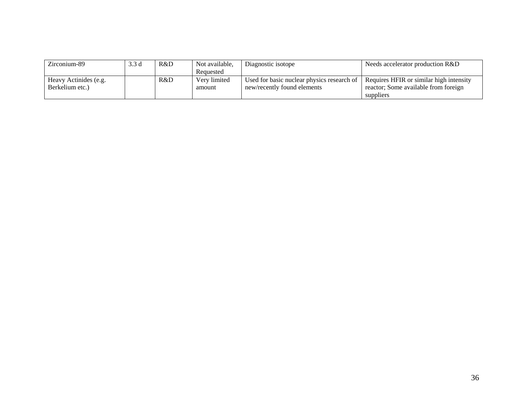| Zirconium-89          | 3.3d | R&D | Not available, | Diagnostic isotope                         | Needs accelerator production R&D        |
|-----------------------|------|-----|----------------|--------------------------------------------|-----------------------------------------|
|                       |      |     | Requested      |                                            |                                         |
| Heavy Actinides (e.g. |      | R&D | Very limited   | Used for basic nuclear physics research of | Requires HFIR or similar high intensity |
| Berkelium etc.)       |      |     | amount         | new/recently found elements                | reactor; Some available from foreign    |
|                       |      |     |                |                                            | suppliers                               |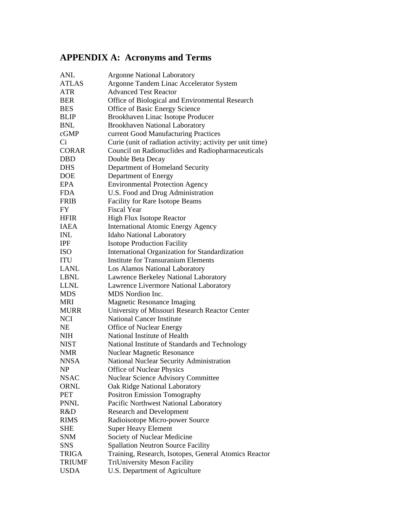# **APPENDIX A: Acronyms and Terms**

| <b>Argonne National Laboratory</b>                         |
|------------------------------------------------------------|
| Argonne Tandem Linac Accelerator System                    |
| <b>Advanced Test Reactor</b>                               |
| Office of Biological and Environmental Research            |
| Office of Basic Energy Science                             |
| Brookhaven Linac Isotope Producer                          |
| <b>Brookhaven National Laboratory</b>                      |
| current Good Manufacturing Practices                       |
| Curie (unit of radiation activity; activity per unit time) |
| Council on Radionuclides and Radiopharmaceuticals          |
| Double Beta Decay                                          |
| Department of Homeland Security                            |
| Department of Energy                                       |
| <b>Environmental Protection Agency</b>                     |
| U.S. Food and Drug Administration                          |
| Facility for Rare Isotope Beams                            |
| <b>Fiscal Year</b>                                         |
| High Flux Isotope Reactor                                  |
| <b>International Atomic Energy Agency</b>                  |
| <b>Idaho National Laboratory</b>                           |
| <b>Isotope Production Facility</b>                         |
| International Organization for Standardization             |
| <b>Institute for Transuranium Elements</b>                 |
| Los Alamos National Laboratory                             |
| Lawrence Berkeley National Laboratory                      |
| Lawrence Livermore National Laboratory                     |
| MDS Nordion Inc.                                           |
| <b>Magnetic Resonance Imaging</b>                          |
| University of Missouri Research Reactor Center             |
| <b>National Cancer Institute</b>                           |
| Office of Nuclear Energy                                   |
| National Institute of Health                               |
| National Institute of Standards and Technology             |
| <b>Nuclear Magnetic Resonance</b>                          |
| National Nuclear Security Administration                   |
| Office of Nuclear Physics                                  |
| <b>Nuclear Science Advisory Committee</b>                  |
| Oak Ridge National Laboratory                              |
| <b>Positron Emission Tomography</b>                        |
| Pacific Northwest National Laboratory                      |
| <b>Research and Development</b>                            |
| Radioisotope Micro-power Source                            |
| <b>Super Heavy Element</b>                                 |
| Society of Nuclear Medicine                                |
| <b>Spallation Neutron Source Facility</b>                  |
| Training, Research, Isotopes, General Atomics Reactor      |
| TriUniversity Meson Facility                               |
| U.S. Department of Agriculture                             |
|                                                            |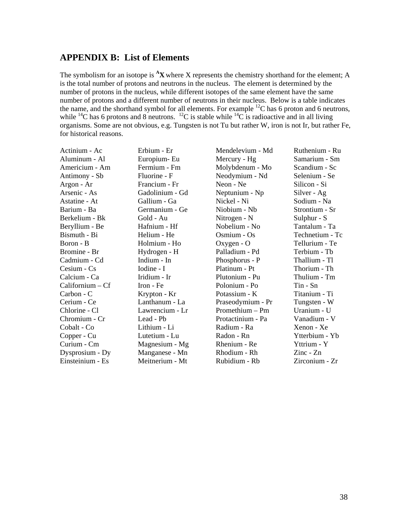### **APPENDIX B: List of Elements**

The symbolism for an isotope is <sup>A</sup>X where X represents the chemistry shorthand for the element; A is the total number of protons and neutrons in the nucleus. The element is determined by the number of protons in the nucleus, while different isotopes of the same element have the same number of protons and a different number of neutrons in their nucleus. Below is a table indicates the name, and the shorthand symbol for all elements. For example  ${}^{12}C$  has 6 proton and 6 neutrons, while  ${}^{14}C$  has 6 protons and 8 neutrons.  ${}^{12}C$  is stable while  ${}^{14}C$  is radioactive and in all living organisms. Some are not obvious, e.g. Tungsten is not Tu but rather W, iron is not Ir, but rather Fe, for historical reasons.

| Actinium - Ac      | Erbium - Er     | Mendelevium - Md  | Ruthenium - Ru              |
|--------------------|-----------------|-------------------|-----------------------------|
| Aluminum - Al      | Europium-Eu     | Mercury - Hg      | Samarium - Sm               |
| Americium - Am     | Fermium - Fm    | Molybdenum - Mo   | Scandium - Sc               |
| Antimony - Sb      | Fluorine - F    | Neodymium - Nd    | Selenium - Se               |
| Argon - Ar         | Francium - Fr   | Neon - Ne         | Silicon - Si                |
| Arsenic - As       | Gadolinium - Gd | Neptunium - Np    | Silver - Ag                 |
| Astatine - At      | Gallium - Ga    | Nickel - Ni       | Sodium - Na                 |
| Barium - Ba        | Germanium - Ge  | Niobium - Nb      | Strontium - Sr              |
| Berkelium - Bk     | Gold - Au       | Nitrogen - N      | Sulphur - S                 |
| Beryllium - Be     | Hafnium - Hf    | Nobelium - No     | Tantalum - Ta               |
| Bismuth - Bi       | Helium - He     | Osmium - Os       | Technetium - Tc             |
| Boron - B          | Holmium - Ho    | Oxygen - O        | Tellurium - Te              |
| Bromine - Br       | Hydrogen - H    | Palladium - Pd    | Terbium - Tb                |
| Cadmium - Cd       | Indium - In     | Phosphorus - P    | Thallium - Tl               |
| $C$ esium - $Cs$   | Iodine - I      | Platinum - Pt     | Thorium - Th                |
| Calcium - Ca       | Iridium - Ir    | Plutonium - Pu    | Thulium - Tm                |
| $Californium - Cf$ | Iron - Fe       | Polonium - Po     | Tin - Sn                    |
| Carbon - C         | Krypton - Kr    | Potassium - K     | Titanium - Ti               |
| Cerium - Ce        | Lanthanum - La  | Praseodymium - Pr | Tungsten - W                |
| Chlorine - Cl      | Lawrencium - Lr | $Promethium - Pm$ | Uranium - U                 |
| Chromium - Cr      | Lead - Pb       | Protactinium - Pa | Vanadium - V                |
| Cobalt - Co        | Lithium - Li    | Radium - Ra       | Xenon - Xe                  |
| Copper - Cu        | Lutetium - Lu   | Radon - Rn        | Ytterbium - Yb              |
| Curium - Cm        | Magnesium - Mg  | Rhenium - Re      | Yttrium - Y                 |
| Dysprosium - Dy    | Manganese - Mn  | Rhodium - Rh      | $\text{Zinc}$ - $\text{Zn}$ |
| Einsteinium - Es   | Meitnerium - Mt | Rubidium - Rb     | Zirconium - Zr              |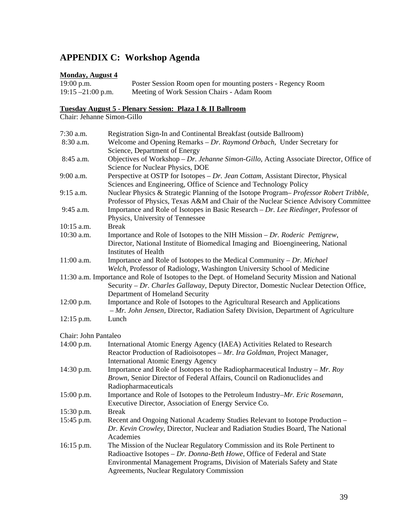# **APPENDIX C: Workshop Agenda**

### **Monday, August 4**

| $19:00$ p.m.         | Poster Session Room open for mounting posters - Regency Room |
|----------------------|--------------------------------------------------------------|
| $19:15 - 21:00$ p.m. | Meeting of Work Session Chairs - Adam Room                   |

### **Tuesday August 5 - Plenary Session: Plaza I & II Ballroom**

Chair: Jehanne Simon-Gillo

| 7:30 a.m.            | Registration Sign-In and Continental Breakfast (outside Ballroom)                                       |
|----------------------|---------------------------------------------------------------------------------------------------------|
| 8:30 a.m.            | Welcome and Opening Remarks - Dr. Raymond Orbach, Under Secretary for                                   |
|                      | Science, Department of Energy                                                                           |
| 8:45 a.m.            | Objectives of Workshop – Dr. Jehanne Simon-Gillo, Acting Associate Director, Office of                  |
|                      | Science for Nuclear Physics, DOE                                                                        |
| 9:00 a.m.            | Perspective at OSTP for Isotopes - Dr. Jean Cottam, Assistant Director, Physical                        |
|                      | Sciences and Engineering, Office of Science and Technology Policy                                       |
| 9:15 a.m.            | Nuclear Physics & Strategic Planning of the Isotope Program– Professor Robert Tribble,                  |
|                      | Professor of Physics, Texas A&M and Chair of the Nuclear Science Advisory Committee                     |
| 9:45 a.m.            | Importance and Role of Isotopes in Basic Research – Dr. Lee Riedinger, Professor of                     |
|                      | Physics, University of Tennessee                                                                        |
| 10:15 a.m.           | <b>Break</b>                                                                                            |
| 10:30 a.m.           | Importance and Role of Isotopes to the NIH Mission - Dr. Roderic Pettigrew,                             |
|                      | Director, National Institute of Biomedical Imaging and Bioengineering, National<br>Institutes of Health |
| 11:00 a.m.           | Importance and Role of Isotopes to the Medical Community $-Dr$ . Michael                                |
|                      | Welch, Professor of Radiology, Washington University School of Medicine                                 |
|                      | 11:30 a.m. Importance and Role of Isotopes to the Dept. of Homeland Security Mission and National       |
|                      | Security - Dr. Charles Gallaway, Deputy Director, Domestic Nuclear Detection Office,                    |
|                      | Department of Homeland Security                                                                         |
| $12:00$ p.m.         | Importance and Role of Isotopes to the Agricultural Research and Applications                           |
|                      | - Mr. John Jensen, Director, Radiation Safety Division, Department of Agriculture                       |
| $12:15$ p.m.         | Lunch                                                                                                   |
| Chair: John Pantaleo |                                                                                                         |
| 14:00 p.m.           | International Atomic Energy Agency (IAEA) Activities Related to Research                                |
|                      | Reactor Production of Radioisotopes - Mr. Ira Goldman, Project Manager,                                 |
|                      | <b>International Atomic Energy Agency</b>                                                               |
| 14:30 p.m.           | Importance and Role of Isotopes to the Radiopharmaceutical Industry – $Mr. Roy$                         |
|                      | Brown, Senior Director of Federal Affairs, Council on Radionuclides and                                 |
|                      | Radiopharmaceuticals                                                                                    |
| 15:00 p.m.           | Importance and Role of Isotopes to the Petroleum Industry–Mr. Eric Rosemann,                            |
|                      | Executive Director, Association of Energy Service Co.                                                   |
| 15:30 p.m.           | <b>Break</b>                                                                                            |
| 15:45 p.m.           | Recent and Ongoing National Academy Studies Relevant to Isotope Production -                            |
|                      | Dr. Kevin Crowley, Director, Nuclear and Radiation Studies Board, The National                          |
|                      | Academies                                                                                               |
| 16:15 p.m.           | The Mission of the Nuclear Regulatory Commission and its Role Pertinent to                              |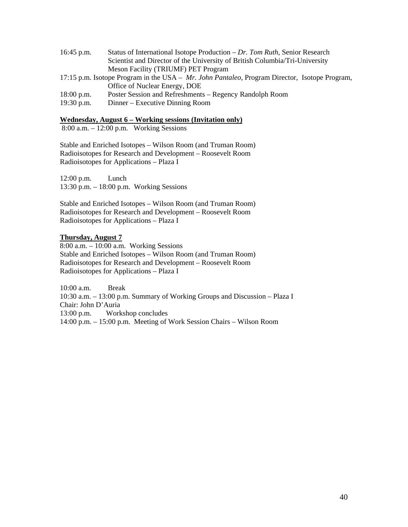| $16:45$ p.m.                                                                                  | Status of International Isotope Production – Dr. Tom Ruth, Senior Research  |  |  |  |
|-----------------------------------------------------------------------------------------------|-----------------------------------------------------------------------------|--|--|--|
|                                                                                               | Scientist and Director of the University of British Columbia/Tri-University |  |  |  |
|                                                                                               | Meson Facility (TRIUMF) PET Program                                         |  |  |  |
| 17:15 p.m. Isotope Program in the USA – Mr. John Pantaleo, Program Director, Isotope Program, |                                                                             |  |  |  |
|                                                                                               | Office of Nuclear Energy, DOE                                               |  |  |  |
| $18:00$ p.m.                                                                                  | Poster Session and Refreshments – Regency Randolph Room                     |  |  |  |
| $19:30$ p.m.                                                                                  | Dinner – Executive Dinning Room                                             |  |  |  |

### **Wednesday, August 6 – Working sessions (Invitation only)**

8:00 a.m. – 12:00 p.m. Working Sessions

Stable and Enriched Isotopes – Wilson Room (and Truman Room) Radioisotopes for Research and Development – Roosevelt Room Radioisotopes for Applications – Plaza I

12:00 p.m. Lunch 13:30 p.m. – 18:00 p.m. Working Sessions

Stable and Enriched Isotopes – Wilson Room (and Truman Room) Radioisotopes for Research and Development – Roosevelt Room Radioisotopes for Applications – Plaza I

### **Thursday, August 7**

8:00 a.m. – 10:00 a.m. Working Sessions Stable and Enriched Isotopes – Wilson Room (and Truman Room) Radioisotopes for Research and Development – Roosevelt Room Radioisotopes for Applications – Plaza I

10:00 a.m. Break 10:30 a.m. – 13:00 p.m. Summary of Working Groups and Discussion – Plaza I Chair: John D'Auria 13:00 p.m. Workshop concludes 14:00 p.m. – 15:00 p.m. Meeting of Work Session Chairs – Wilson Room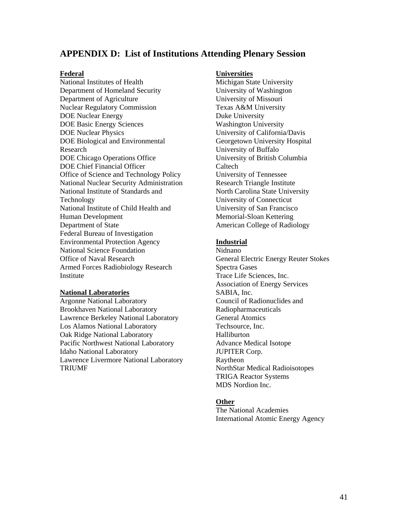### **APPENDIX D: List of Institutions Attending Plenary Session**

### **Federal**

National Institutes of Health Department of Homeland Security Department of Agriculture Nuclear Regulatory Commission DOE Nuclear Energy DOE Basic Energy Sciences DOE Nuclear Physics DOE Biological and Environmental Research DOE Chicago Operations Office DOE Chief Financial Officer Office of Science and Technology Policy National Nuclear Security Administration National Institute of Standards and Technology National Institute of Child Health and Human Development Department of State Federal Bureau of Investigation Environmental Protection Agency National Science Foundation Office of Naval Research Armed Forces Radiobiology Research Institute

### **National Laboratories**

Argonne National Laboratory Brookhaven National Laboratory Lawrence Berkeley National Laboratory Los Alamos National Laboratory Oak Ridge National Laboratory Pacific Northwest National Laboratory Idaho National Laboratory Lawrence Livermore National Laboratory TRIUMF

### **Universities**

Michigan State University University of Washington University of Missouri Texas A&M University Duke University Washington University University of California/Davis Georgetown University Hospital University of Buffalo University of British Columbia Caltech University of Tennessee Research Triangle Institute North Carolina State University University of Connecticut University of San Francisco Memorial-Sloan Kettering American College of Radiology

### **Industrial**

Nidnano General Electric Energy Reuter Stokes Spectra Gases Trace Life Sciences, Inc. Association of Energy Services SABIA, Inc. Council of Radionuclides and Radiopharmaceuticals General Atomics Techsource, Inc. Halliburton Advance Medical Isotope JUPITER Corp. Raytheon NorthStar Medical Radioisotopes TRIGA Reactor Systems MDS Nordion Inc.

### **Other**

The National Academies International Atomic Energy Agency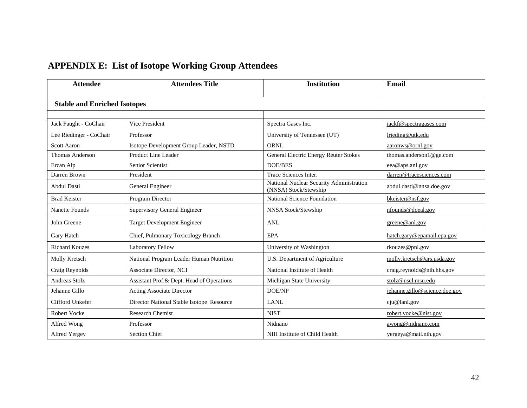# **APPENDIX E: List of Isotope Working Group Attendees**

| <b>Attendee</b>                     | <b>Attendees Title</b>                    | <b>Institution</b>                                                | Email                         |
|-------------------------------------|-------------------------------------------|-------------------------------------------------------------------|-------------------------------|
|                                     |                                           |                                                                   |                               |
| <b>Stable and Enriched Isotopes</b> |                                           |                                                                   |                               |
|                                     |                                           |                                                                   |                               |
| Jack Faught - CoChair               | Vice President                            | Spectra Gases Inc.                                                | jackf@spectragases.com        |
| Lee Riedinger - CoChair             | Professor                                 | University of Tennessee (UT)                                      | lrieding@utk.edu              |
| <b>Scott Aaron</b>                  | Isotope Development Group Leader, NSTD    | <b>ORNL</b>                                                       | aaronws@ornl.gov              |
| Thomas Anderson                     | Product Line Leader                       | <b>General Electric Energy Reuter Stokes</b>                      | thomas.anderson1@ge.com       |
| Ercan Alp                           | Senior Scientist                          | <b>DOE/BES</b>                                                    | eea@aps.anl.gov               |
| Darren Brown                        | President                                 | Trace Sciences Inter.                                             | darren@tracesciences.com      |
| <b>Abdul Dasti</b>                  | General Engineer                          | National Nuclear Security Administration<br>(NNSA) Stock/Stewship | abdul.dasti@nnsa.doe.gov      |
| <b>Brad Keister</b>                 | Program Director                          | National Science Foundation                                       | bkeister@nsf.gov              |
| Nanette Founds                      | <b>Supervisory General Engineer</b>       | NNSA Stock/Stewship                                               | nfounds@doeal.gov             |
| John Greene                         | <b>Target Development Engineer</b>        | <b>ANL</b>                                                        | greene@anl.gov                |
| Gary Hatch                          | Chief, Pulmonary Toxicology Branch        | EPA                                                               | hatch.gary@epamail.epa.gov    |
| <b>Richard Kouzes</b>               | <b>Laboratory Fellow</b>                  | University of Washington                                          | rkouzes@pnl.gov               |
| Molly Kretsch                       | National Program Leader Human Nutrition   | U.S. Department of Agriculture                                    | molly.kretsch@ars.usda.gov    |
| Craig Reynolds                      | Associate Director, NCI                   | National Institute of Health                                      | craigreynolds@nih.hhs.gov     |
| Andreas Stolz                       | Assistant Prof.& Dept. Head of Operations | Michigan State University                                         | stolz@nscl.msu.edu            |
| Jehanne Gillo                       | Acting Associate Director                 | DOE/NP                                                            | jehanne.gillo@science.doe.gov |
| Clifford Unkefer                    | Director National Stable Isotope Resource | <b>LANL</b>                                                       | ciu@land.gov                  |
| Robert Vocke                        | <b>Research Chemist</b>                   | <b>NIST</b>                                                       | robert.vocke@nist.gov         |
| Alfred Wong                         | Professor                                 | Nidnano                                                           | awong@nidnano.com             |
| Alfred Yergey                       | <b>Section Chief</b>                      | NIH Institute of Child Health                                     | yergeya@mail.nih.gov          |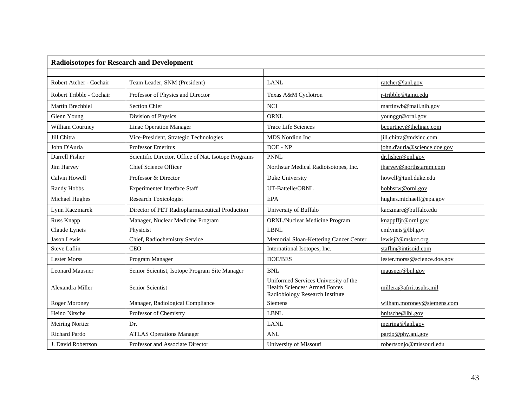| <b>Radioisotopes for Research and Development</b> |                                                      |                                                                                                          |                              |  |
|---------------------------------------------------|------------------------------------------------------|----------------------------------------------------------------------------------------------------------|------------------------------|--|
|                                                   |                                                      |                                                                                                          |                              |  |
| Robert Atcher - Cochair                           | Team Leader, SNM (President)                         | <b>LANL</b>                                                                                              | ratcher@lanl.gov             |  |
| Robert Tribble - Cochair                          | Professor of Physics and Director                    | Texas A&M Cyclotron                                                                                      | r-tribble@tamu.edu           |  |
| Martin Brechbiel                                  | <b>Section Chief</b>                                 | <b>NCI</b>                                                                                               | martinwb@mail.nih.gov        |  |
| Glenn Young                                       | Division of Physics                                  | <b>ORNL</b>                                                                                              | younggr@ornl.gov             |  |
| William Courtney                                  | <b>Linac Operation Manager</b>                       | <b>Trace Life Sciences</b>                                                                               | bcourtney@thelinac.com       |  |
| Jill Chitra                                       | Vice-President, Strategic Technologies               | <b>MDS</b> Nordion Inc.                                                                                  | jill.chitra@mdsinc.com       |  |
| John D'Auria                                      | Professor Emeritus                                   | DOE - NP                                                                                                 | john.d'auria@science.doe.gov |  |
| Darrell Fisher                                    | Scientific Director, Office of Nat. Isotope Programs | <b>PNNL</b>                                                                                              | dr.fisher@pnl.gov            |  |
| Jim Harvey                                        | Chief Science Officer                                | Northstar Medical Radioisotopes, Inc.                                                                    | jharvey@northstarnm.com      |  |
| Calvin Howell                                     | Professor & Director                                 | Duke University                                                                                          | howell@tunl.duke.edu         |  |
| Randy Hobbs                                       | <b>Experimenter Interface Staff</b>                  | UT-Battelle/ORNL                                                                                         | hobbsrw@ornl.gov             |  |
| Michael Hughes                                    | <b>Research Toxicologist</b>                         | <b>EPA</b>                                                                                               | hughes.michaelf@epa.gov      |  |
| Lynn Kaczmarek                                    | Director of PET Radiopharmaceutical Production       | University of Buffalo                                                                                    | kaczmare@buffalo.edu         |  |
| Russ Knapp                                        | Manager, Nuclear Medicine Program                    | ORNL/Nuclear Medicine Program                                                                            | $k$ nappffjr@ornl.gov        |  |
| Claude Lyneis                                     | Physicist                                            | <b>LBNL</b>                                                                                              | cmlyneis@lbl.gov             |  |
| Jason Lewis                                       | Chief, Radiochemistry Service                        | Memorial Sloan-Kettering Cancer Center                                                                   | lewisj2@mskcc.org            |  |
| <b>Steve Laflin</b>                               | <b>CEO</b>                                           | International Isotopes, Inc.                                                                             | staflin@intisoid.com         |  |
| <b>Lester Morss</b>                               | Program Manager                                      | <b>DOE/BES</b>                                                                                           | lester.morss@science.doe.gov |  |
| <b>Leonard Mausner</b>                            | Senior Scientist, Isotope Program Site Manager       | BNL                                                                                                      | mausner@bnl.gov              |  |
| Alexandra Miller                                  | Senior Scientist                                     | Uniformed Services University of the<br>Health Sciences/ Armed Forces<br>Radiobiology Research Institute | millera@afrri.usuhs.mil      |  |
| Roger Moroney                                     | Manager, Radiological Compliance                     | <b>Siemens</b>                                                                                           | wilham.moroney@siemens.com   |  |
| Heino Nitsche                                     | Professor of Chemistry                               | LBNL                                                                                                     | hnitsche@lbl.gov             |  |
| <b>Meiring Nortier</b>                            | Dr.                                                  | <b>LANL</b>                                                                                              | meiring@lanl.gov             |  |
| Richard Pardo                                     | <b>ATLAS Operations Manager</b>                      | ANL                                                                                                      | pardo@phy.anl.gov            |  |
| J. David Robertson                                | Professor and Associate Director                     | University of Missouri                                                                                   | robertsonjo@missouri.edu     |  |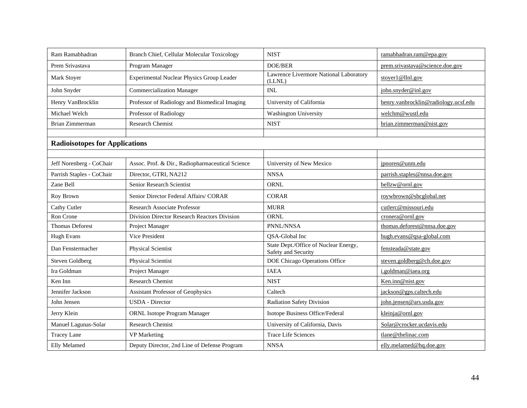| Ram Ramabhadran                       | Branch Chief, Cellular Molecular Toxicology      | <b>NIST</b>                                                  | ramabhadran.ram@epa.gov              |
|---------------------------------------|--------------------------------------------------|--------------------------------------------------------------|--------------------------------------|
| Prem Srivastava                       | Program Manager                                  | <b>DOE/BER</b>                                               | prem.srivastava@science.doe.gov      |
| Mark Stoyer                           | Experimental Nuclear Physics Group Leader        | Lawrence Livermore National Laboratory<br>(LLNL)             | stoyer1@llnl.gov                     |
| John Snyder                           | <b>Commercialization Manager</b>                 | <b>INL</b>                                                   | john.snyder@inl.gov                  |
| Henry VanBrocklin                     | Professor of Radiology and Biomedical Imaging    | University of California                                     | henry.vanbrocklin@radiology.ucsf.edu |
| Michael Welch                         | Professor of Radiology                           | Washington University                                        | welchm@wustl.edu                     |
| Brian Zimmerman                       | <b>Research Chemist</b>                          | <b>NIST</b>                                                  | brian.zimmerman@nist.gov             |
|                                       |                                                  |                                                              |                                      |
| <b>Radioisotopes for Applications</b> |                                                  |                                                              |                                      |
|                                       |                                                  |                                                              |                                      |
| Jeff Norenberg - CoChair              | Assoc. Prof. & Dir., Radiopharmaceutical Science | University of New Mexico                                     | jpnoren@unm.edu                      |
| Parrish Staples - CoChair             | Director, GTRI, NA212                            | <b>NNSA</b>                                                  | parrish.staples@nnsa.doe.gov         |
| Zane Bell                             | Senior Research Scientist                        | <b>ORNL</b>                                                  | bellzw@ornl.gov                      |
| Roy Brown                             | Senior Director Federal Affairs/ CORAR           | <b>CORAR</b>                                                 | roywbrown@sbcglobal.net              |
| <b>Cathy Cutler</b>                   | Research Associate Professor                     | <b>MURR</b>                                                  | cutlerc@missouri.edu                 |
| Ron Crone                             | Division Director Research Reactors Division     | <b>ORNL</b>                                                  | cronera@ornl.gov                     |
| <b>Thomas Deforest</b>                | Project Manager                                  | PNNL/NNSA                                                    | thomas.deforest@nnsa.doe.gov         |
| <b>Hugh Evans</b>                     | Vice President                                   | <b>OSA-Global Inc</b>                                        | hugh.evans@qsa-global.com            |
| Dan Fenstermacher                     | Physical Scientist                               | State Dept./Office of Nuclear Energy,<br>Safety and Security | fensteada@state.gov                  |
| <b>Steven Goldberg</b>                | Physical Scientist                               | DOE Chicago Operations Office                                | steven.goldberg@ch.doe.gov           |
| Ira Goldman                           | Project Manager                                  | <b>IAEA</b>                                                  | i.goldman@iaea.org                   |
| Ken Inn                               | <b>Research Chemist</b>                          | <b>NIST</b>                                                  | Ken.inn@nist.gov                     |
| Jennifer Jackson                      | Assistant Professor of Geophysics                | Caltech                                                      | jackson@gps.caltech.edu              |
| John Jensen                           | <b>USDA</b> - Director                           | <b>Radiation Safety Division</b>                             | john.jensen@ars.usda.gov             |
| Jerry Klein                           | <b>ORNL Isotope Program Manager</b>              | Isotope Business Office/Federal                              | kleinja@ornl.gov                     |
| Manuel Lagunas-Solar                  | Research Chemist                                 | University of California, Davis                              | Solar@crocker.ucdavis.edu            |
| <b>Tracey Lane</b>                    | <b>VP</b> Marketing                              | <b>Trace Life Sciences</b>                                   | tlane@thelinac.com                   |
| <b>Elly Melamed</b>                   | Deputy Director, 2nd Line of Defense Program     | <b>NNSA</b>                                                  | elly.melamed@hq.doe.gov              |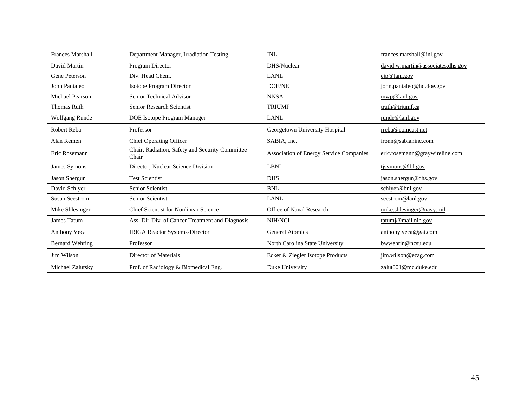| <b>Frances Marshall</b> | Department Manager, Irradiation Testing                  | INL                                            | frances.marshall@inl.gov          |
|-------------------------|----------------------------------------------------------|------------------------------------------------|-----------------------------------|
| David Martin            | Program Director                                         | DHS/Nuclear                                    | david.w.martin@associates.dhs.gov |
| Gene Peterson           | Div. Head Chem.                                          | <b>LANL</b>                                    | eip@lanl.gov                      |
| John Pantaleo           | Isotope Program Director                                 | <b>DOE/NE</b>                                  | john.pantaleo@hq.doe.gov          |
| Michael Pearson         | Senior Technical Advisor                                 | <b>NNSA</b>                                    | mwp@lanl.gov                      |
| <b>Thomas Ruth</b>      | Senior Research Scientist                                | <b>TRIUMF</b>                                  | truth@triumf.ca                   |
| <b>Wolfgang Runde</b>   | DOE Isotope Program Manager                              | <b>LANL</b>                                    | runde@lanl.gov                    |
| Robert Reba             | Professor                                                | Georgetown University Hospital                 | rreba@comcast.net                 |
| Alan Remen              | <b>Chief Operating Officer</b>                           | SABIA, Inc.                                    | ironn@sabianinc.com               |
| Eric Rosemann           | Chair, Radiation, Safety and Security Committee<br>Chair | <b>Association of Energy Service Companies</b> | eric.rosemann@graywireline.com    |
| James Symons            | Director, Nuclear Science Division                       | LBNL                                           | tjsymons@lbl.gov                  |
| Jason Shergur           | <b>Test Scientist</b>                                    | <b>DHS</b>                                     | jason.shergur@dhs.gov             |
| David Schlyer           | Senior Scientist                                         | <b>BNL</b>                                     | schlyer@bnl.gov                   |
| <b>Susan Seestrom</b>   | Senior Scientist                                         | <b>LANL</b>                                    | seestrom@lanl.gov                 |
| Mike Shlesinger         | <b>Chief Scientist for Nonlinear Science</b>             | Office of Naval Research                       | mike.shlesinger@navy.mil          |
| James Tatum             | Ass. Dir-Div. of Cancer Treatment and Diagnosis          | <b>NIH/NCI</b>                                 | tatumj@mail.nih.gov               |
| Anthony Veca            | <b>IRIGA Reactor Systems-Director</b>                    | <b>General Atomics</b>                         | anthony.veca@gat.com              |
| <b>Bernard Wehring</b>  | Professor                                                | North Carolina State University                | bwwehrin@ncsu.edu                 |
| Jim Wilson              | Director of Materials                                    | Ecker & Ziegler Isotope Products               | jim.wilson@ezag.com               |
| Michael Zalutsky        | Prof. of Radiology & Biomedical Eng.                     | Duke University                                | zalut001@mc.duke.edu              |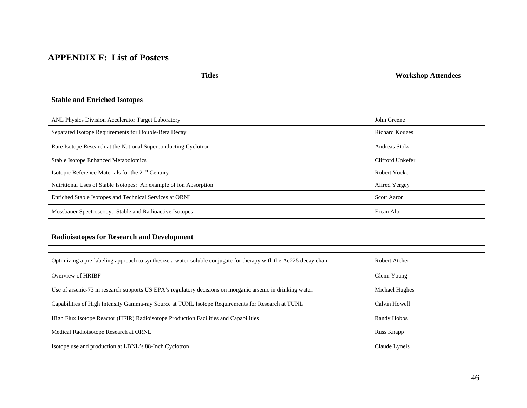# **APPENDIX F: List of Posters**

| <b>Titles</b>                                                                                                     | <b>Workshop Attendees</b> |
|-------------------------------------------------------------------------------------------------------------------|---------------------------|
|                                                                                                                   |                           |
| <b>Stable and Enriched Isotopes</b>                                                                               |                           |
| ANL Physics Division Accelerator Target Laboratory                                                                | John Greene               |
| Separated Isotope Requirements for Double-Beta Decay                                                              | <b>Richard Kouzes</b>     |
| Rare Isotope Research at the National Superconducting Cyclotron                                                   | <b>Andreas Stolz</b>      |
| <b>Stable Isotope Enhanced Metabolomics</b>                                                                       | Clifford Unkefer          |
| Isotopic Reference Materials for the 21 <sup>st</sup> Century                                                     | Robert Vocke              |
| Nutritional Uses of Stable Isotopes: An example of ion Absorption                                                 | Alfred Yergey             |
| Enriched Stable Isotopes and Technical Services at ORNL                                                           | <b>Scott Aaron</b>        |
| Mossbauer Spectroscopy: Stable and Radioactive Isotopes                                                           | Ercan Alp                 |
|                                                                                                                   |                           |
| <b>Radioisotopes for Research and Development</b>                                                                 |                           |
|                                                                                                                   |                           |
| Optimizing a pre-labeling approach to synthesize a water-soluble conjugate for therapy with the Ac225 decay chain | Robert Atcher             |
| Overview of HRIBF                                                                                                 | Glenn Young               |
| Use of arsenic-73 in research supports US EPA's regulatory decisions on inorganic arsenic in drinking water.      | Michael Hughes            |
| Capabilities of High Intensity Gamma-ray Source at TUNL Isotope Requirements for Research at TUNL                 | Calvin Howell             |
| High Flux Isotope Reactor (HFIR) Radioisotope Production Facilities and Capabilities                              | Randy Hobbs               |
| Medical Radioisotope Research at ORNL                                                                             | Russ Knapp                |
| Isotope use and production at LBNL's 88-Inch Cyclotron                                                            | Claude Lyneis             |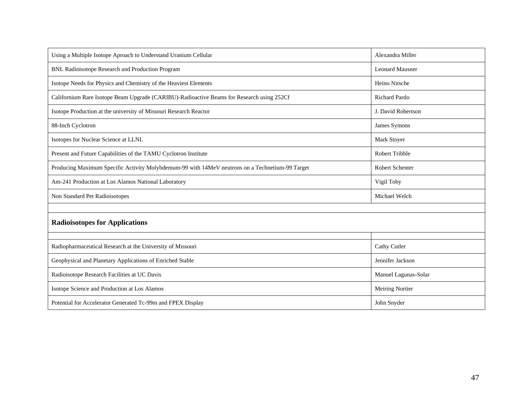| Using a Multiple Isotope Aproach to Understand Uranium Cellular                                 | Alexandra Miller       |  |  |
|-------------------------------------------------------------------------------------------------|------------------------|--|--|
| BNL Radioisotope Research and Production Program                                                | <b>Leonard Mausner</b> |  |  |
| Isotope Needs for Physics and Chemistry of the Heaviest Elements                                | Heino Nitsche          |  |  |
| Californium Rare Isotope Beam Upgrade (CARIBU)-Radioactive Beams for Research using 252Cf       | <b>Richard Pardo</b>   |  |  |
| Isotope Production at the university of Missouri Research Reactor                               | J. David Robertson     |  |  |
| 88-Inch Cyclotron                                                                               | James Symons           |  |  |
| Isotopes for Nuclear Science at LLNL                                                            | Mark Stoyer            |  |  |
| Present and Future Capabilities of the TAMU Cyclotron Institute                                 | Robert Tribble         |  |  |
| Producing Maximum Specific Activity Molybdemum-99 with 14MeV neutrons on a Technetium-99 Target | <b>Robert Schenter</b> |  |  |
| Am-241 Production at Los Alamos National Laboratory                                             | Vigil Toby             |  |  |
| Non Standard Pet Radioisotopes                                                                  | Michael Welch          |  |  |
|                                                                                                 |                        |  |  |
| <b>Radioisotopes for Applications</b>                                                           |                        |  |  |
|                                                                                                 |                        |  |  |
| Radiopharmaceutical Research at the University of Missouri                                      | Cathy Cutler           |  |  |
| Geophysical and Planetary Applications of Enriched Stable                                       | Jennifer Jackson       |  |  |
| Radioisotope Research Facilities at UC Davis                                                    | Manuel Lagunas-Solar   |  |  |
| Isotope Science and Production at Los Alamos                                                    | <b>Meiring Nortier</b> |  |  |
| Potential for Accelerator Generated Tc-99m and FPEX Display                                     | John Snyder            |  |  |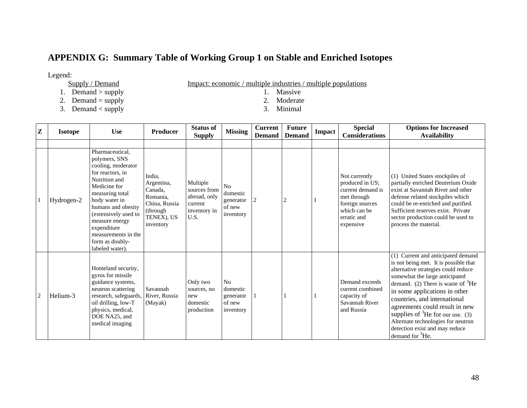# **APPENDIX G: Summary Table of Working Group 1 on Stable and Enriched Isotopes**

- Legend:<br>Supply / Demand
	- 1. Demand  $>$  supply
	- 2. Demand = supply 2. Moderate  $\frac{1}{2}$ . Moderate  $\frac{2}{3}$ . Moderate  $\frac{3}{2}$ . Moderate
	- 3. Demand < supply 3. Minimal

 $\frac{F_{\text{m}}}{F_{\text{m}}}}$  / multiple industries / multiple populations 1. Massive

- 
- 
- 

| Z              | <b>Isotope</b> | <b>Use</b>                                                                                                                                                                                                                                                                                  | <b>Producer</b>                                                                                      | <b>Status of</b><br><b>Supply</b>                                           | <b>Missing</b>                                     | <b>Current</b><br><b>Demand</b> | <b>Future</b><br><b>Demand</b> | Impact | <b>Special</b><br><b>Considerations</b>                                                                                             | <b>Options for Increased</b><br><b>Availability</b>                                                                                                                                                                                                                                                                                                                                                                                                 |
|----------------|----------------|---------------------------------------------------------------------------------------------------------------------------------------------------------------------------------------------------------------------------------------------------------------------------------------------|------------------------------------------------------------------------------------------------------|-----------------------------------------------------------------------------|----------------------------------------------------|---------------------------------|--------------------------------|--------|-------------------------------------------------------------------------------------------------------------------------------------|-----------------------------------------------------------------------------------------------------------------------------------------------------------------------------------------------------------------------------------------------------------------------------------------------------------------------------------------------------------------------------------------------------------------------------------------------------|
|                | Hydrogen-2     | Pharmaceutical,<br>polymers, SNS<br>cooling, moderator<br>for reactors, in<br>Nutrition and<br>Medicine for<br>measuring total<br>body water in<br>humans and obesity<br>(extensively used to<br>measure energy<br>expenditure<br>measurements in the<br>form as doubly-<br>labeled water). | India.<br>Argentina,<br>Canada,<br>Romania,<br>China, Russia<br>(through)<br>TENEX), US<br>inventory | Multiple<br>sources from<br>abroad, only<br>current<br>inventory in<br>U.S. | No<br>domestic<br>generator<br>of new<br>inventory | $\overline{c}$                  | $\overline{c}$                 |        | Not currently<br>produced in US:<br>current demand is<br>met through<br>foreign sources<br>which can be<br>erratic and<br>expensive | (1) United States stockpiles of<br>partially enriched Deuterium Oxide<br>exist at Savannah River and other<br>defense related stockpiles which<br>could be re-enriched and purified.<br>Sufficient reserves exist. Private<br>sector production could be used to<br>process the material.                                                                                                                                                           |
| $\overline{2}$ | Helium-3       | Homeland security,<br>gyros for missile<br>guidance systems,<br>neutron scattering<br>research, safeguards,<br>oil drilling, low-T<br>physics, medical,<br>DOE NA25, and<br>medical imaging                                                                                                 | Savannah<br>River, Russia<br>(Mayak)                                                                 | Only two<br>sources, no<br>new<br>domestic<br>production                    | No<br>domestic<br>generator<br>of new<br>inventory |                                 |                                |        | Demand exceeds<br>current combined<br>capacity of<br>Savannah River<br>and Russia                                                   | (1) Current and anticipated demand<br>is not being met. It is possible that<br>alternative strategies could reduce<br>somewhat the large anticipated<br>demand. (2) There is waste of ${}^{3}$ He<br>in some applications in other<br>countries, and international<br>agreements could result in new<br>supplies of ${}^{3}$ He for our use. (3)<br>Alternate technologies for neutron<br>detection exist and may reduce<br>demand for ${}^{3}$ He. |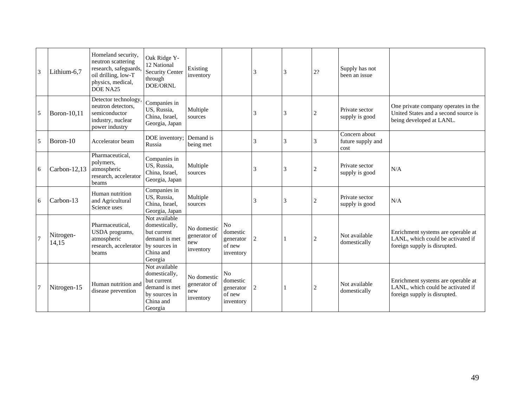| 3 | Lithium-6,7        | Homeland security.<br>neutron scattering<br>research, safeguards,<br>oil drilling, low-T<br>physics, medical,<br>DOE NA25 | Oak Ridge Y-<br>12 National<br>Security Center<br>through<br>DOE/ORNL                                   | Existing<br>inventory                           |                                                                | 3              | 3              | $2? \,$        | Supply has not<br>been an issue            |                                                                                                         |
|---|--------------------|---------------------------------------------------------------------------------------------------------------------------|---------------------------------------------------------------------------------------------------------|-------------------------------------------------|----------------------------------------------------------------|----------------|----------------|----------------|--------------------------------------------|---------------------------------------------------------------------------------------------------------|
| 5 | Boron-10,11        | Detector technology,<br>neutron detectors.<br>semiconductor<br>industry, nuclear<br>power industry                        | Companies in<br>US, Russia,<br>China, Israel,<br>Georgia, Japan                                         | Multiple<br>sources                             |                                                                | 3              | 3              | $\overline{c}$ | Private sector<br>supply is good           | One private company operates in the<br>United States and a second source is<br>being developed at LANL. |
| 5 | Boron-10           | Accelerator beam                                                                                                          | DOE inventory;<br>Russia                                                                                | Demand is<br>being met                          |                                                                | 3              | 3              | 3              | Concern about<br>future supply and<br>cost |                                                                                                         |
| 6 | Carbon-12,13       | Pharmaceutical,<br>polymers,<br>atmospheric<br>research, accelerator<br>beams                                             | Companies in<br>US, Russia,<br>China, Israel,<br>Georgia, Japan                                         | Multiple<br>sources                             |                                                                | 3              | 3              | $\overline{c}$ | Private sector<br>supply is good           | N/A                                                                                                     |
| 6 | Carbon-13          | Human nutrition<br>and Agricultural<br>Science uses                                                                       | Companies in<br>US, Russia,<br>China, Israel,<br>Georgia, Japan                                         | Multiple<br>sources                             |                                                                | 3              | 3              | $\overline{c}$ | Private sector<br>supply is good           | N/A                                                                                                     |
|   | Nitrogen-<br>14,15 | Pharmaceutical.<br>USDA programs,<br>atmospheric<br>research, accelerator<br>beams                                        | Not available<br>domestically,<br>but current<br>demand is met<br>by sources in<br>China and<br>Georgia | No domestic<br>generator of<br>new<br>inventory | N <sub>o</sub><br>domestic<br>generator<br>of new<br>inventory | $\overline{2}$ | $\overline{1}$ | $\overline{c}$ | Not available<br>domestically              | Enrichment systems are operable at<br>LANL, which could be activated if<br>foreign supply is disrupted. |
|   | Nitrogen-15        | Human nutrition and<br>disease prevention                                                                                 | Not available<br>domestically,<br>but current<br>demand is met<br>by sources in<br>China and<br>Georgia | No domestic<br>generator of<br>new<br>inventory | N <sub>o</sub><br>domestic<br>generator<br>of new<br>inventory | $\overline{2}$ | -1             | $\overline{c}$ | Not available<br>domestically              | Enrichment systems are operable at<br>LANL, which could be activated if<br>foreign supply is disrupted. |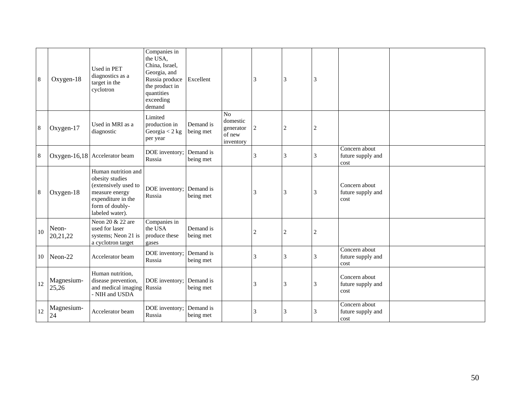| 8  | Oxygen-18           | Used in PET<br>diagnostics as a<br>target in the<br>cyclotron                                                                                | Companies in<br>the USA,<br>China, Israel,<br>Georgia, and<br>Russia produce<br>the product in<br>quantities<br>exceeding<br>demand | Excellent              |                                                          | 3 | 3              | 3 |                                            |  |
|----|---------------------|----------------------------------------------------------------------------------------------------------------------------------------------|-------------------------------------------------------------------------------------------------------------------------------------|------------------------|----------------------------------------------------------|---|----------------|---|--------------------------------------------|--|
| 8  | Oxygen-17           | Used in MRI as a<br>diagnostic                                                                                                               | Limited<br>production in<br>Georgia $<$ 2 kg<br>per year                                                                            | Demand is<br>being met | $\rm No$<br>domestic<br>generator<br>of new<br>inventory | 2 | $\overline{c}$ | 2 |                                            |  |
| 8  |                     | Oxygen-16,18 Accelerator beam                                                                                                                | DOE inventory;<br>Russia                                                                                                            | Demand is<br>being met |                                                          | 3 | 3              | 3 | Concern about<br>future supply and<br>cost |  |
| 8  | Oxygen-18           | Human nutrition and<br>obesity studies<br>(extensively used to<br>measure energy<br>expenditure in the<br>form of doubly-<br>labeled water). | DOE inventory; Demand is<br>Russia                                                                                                  | being met              |                                                          | 3 | 3              | 3 | Concern about<br>future supply and<br>cost |  |
| 10 | Neon-<br>20,21,22   | Neon 20 & 22 are<br>used for laser<br>systems; Neon 21 is<br>a cyclotron target                                                              | Companies in<br>the USA<br>produce these<br>gases                                                                                   | Demand is<br>being met |                                                          | 2 | 2              | 2 |                                            |  |
| 10 | Neon-22             | Accelerator beam                                                                                                                             | DOE inventory;<br>Russia                                                                                                            | Demand is<br>being met |                                                          | 3 | 3              | 3 | Concern about<br>future supply and<br>cost |  |
| 12 | Magnesium-<br>25,26 | Human nutrition,<br>disease prevention,<br>and medical imaging Russia<br>- NIH and USDA                                                      | DOE inventory;                                                                                                                      | Demand is<br>being met |                                                          | 3 | 3              | 3 | Concern about<br>future supply and<br>cost |  |
| 12 | Magnesium-<br>24    | Accelerator beam                                                                                                                             | DOE inventory;<br>Russia                                                                                                            | Demand is<br>being met |                                                          | 3 | 3              | 3 | Concern about<br>future supply and<br>cost |  |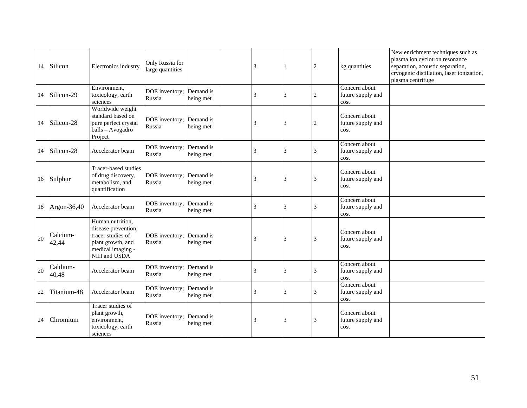| 14 | Silicon           | Electronics industry                                                                                                   | Only Russia for<br>large quantities |                        | 3 |   | 2                | kg quantities                              | New enrichment techniques such as<br>plasma ion cyclotron resonance<br>separation, acoustic separation,<br>cryogenic distillation, laser ionization,<br>plasma centrifuge |
|----|-------------------|------------------------------------------------------------------------------------------------------------------------|-------------------------------------|------------------------|---|---|------------------|--------------------------------------------|---------------------------------------------------------------------------------------------------------------------------------------------------------------------------|
| 14 | Silicon-29        | Environment,<br>toxicology, earth<br>sciences                                                                          | DOE inventory;<br>Russia            | Demand is<br>being met | 3 | 3 | $\boldsymbol{2}$ | Concern about<br>future supply and<br>cost |                                                                                                                                                                           |
| 14 | Silicon-28        | Worldwide weight<br>standard based on<br>pure perfect crystal<br>balls - Avogadro<br>Project                           | DOE inventory;<br>Russia            | Demand is<br>being met | 3 | 3 | 2                | Concern about<br>future supply and<br>cost |                                                                                                                                                                           |
| 14 | Silicon-28        | Accelerator beam                                                                                                       | DOE inventory;<br>Russia            | Demand is<br>being met | 3 | 3 | 3                | Concern about<br>future supply and<br>cost |                                                                                                                                                                           |
|    | 16 Sulphur        | Tracer-based studies<br>of drug discovery,<br>metabolism, and<br>quantification                                        | DOE inventory;<br>Russia            | Demand is<br>being met | 3 | 3 | 3                | Concern about<br>future supply and<br>cost |                                                                                                                                                                           |
| 18 | Argon-36,40       | Accelerator beam                                                                                                       | DOE inventory;<br>Russia            | Demand is<br>being met | 3 | 3 | 3                | Concern about<br>future supply and<br>cost |                                                                                                                                                                           |
| 20 | Calcium-<br>42,44 | Human nutrition,<br>disease prevention,<br>tracer studies of<br>plant growth, and<br>medical imaging -<br>NIH and USDA | DOE inventory;<br>Russia            | Demand is<br>being met | 3 | 3 | 3                | Concern about<br>future supply and<br>cost |                                                                                                                                                                           |
| 20 | Caldium-<br>40,48 | Accelerator beam                                                                                                       | DOE inventory;<br>Russia            | Demand is<br>being met | 3 | 3 | 3                | Concern about<br>future supply and<br>cost |                                                                                                                                                                           |
| 22 | Titanium-48       | Accelerator beam                                                                                                       | DOE inventory;<br>Russia            | Demand is<br>being met | 3 | 3 | 3                | Concern about<br>future supply and<br>cost |                                                                                                                                                                           |
| 24 | Chromium          | Tracer studies of<br>plant growth,<br>environment,<br>toxicology, earth<br>sciences                                    | DOE inventory;<br>Russia            | Demand is<br>being met | 3 | 3 | 3                | Concern about<br>future supply and<br>cost |                                                                                                                                                                           |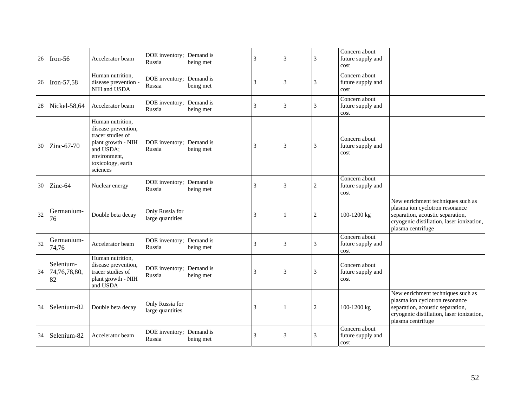| 26 | Iron-56                         | Accelerator beam                                                                                                                                 | DOE inventory;<br>Russia            | Demand is<br>being met | 3 | 3 | 3              | Concern about<br>future supply and<br>cost |                                                                                                                                                                           |
|----|---------------------------------|--------------------------------------------------------------------------------------------------------------------------------------------------|-------------------------------------|------------------------|---|---|----------------|--------------------------------------------|---------------------------------------------------------------------------------------------------------------------------------------------------------------------------|
| 26 | Iron-57,58                      | Human nutrition,<br>disease prevention<br>NIH and USDA                                                                                           | DOE inventory;<br>Russia            | Demand is<br>being met | 3 | 3 | 3              | Concern about<br>future supply and<br>cost |                                                                                                                                                                           |
| 28 | Nickel-58,64                    | Accelerator beam                                                                                                                                 | DOE inventory;<br>Russia            | Demand is<br>being met | 3 | 3 | 3              | Concern about<br>future supply and<br>cost |                                                                                                                                                                           |
| 30 | Zinc-67-70                      | Human nutrition,<br>disease prevention,<br>tracer studies of<br>plant growth - NIH<br>and USDA;<br>environment,<br>toxicology, earth<br>sciences | DOE inventory;<br>Russia            | Demand is<br>being met | 3 | 3 | 3              | Concern about<br>future supply and<br>cost |                                                                                                                                                                           |
| 30 | Zinc-64                         | Nuclear energy                                                                                                                                   | DOE inventory;<br>Russia            | Demand is<br>being met | 3 | 3 | $\overline{c}$ | Concern about<br>future supply and<br>cost |                                                                                                                                                                           |
| 32 | Germanium-<br>76                | Double beta decay                                                                                                                                | Only Russia for<br>large quantities |                        | 3 |   | $\overline{2}$ | 100-1200 kg                                | New enrichment techniques such as<br>plasma ion cyclotron resonance<br>separation, acoustic separation,<br>cryogenic distillation, laser ionization,<br>plasma centrifuge |
| 32 | Germanium-<br>74,76             | Accelerator beam                                                                                                                                 | DOE inventory;<br>Russia            | Demand is<br>being met | 3 | 3 | 3              | Concern about<br>future supply and<br>cost |                                                                                                                                                                           |
| 34 | Selenium-<br>74,76,78,80,<br>82 | Human nutrition,<br>disease prevention,<br>tracer studies of<br>plant growth - NIH<br>and USDA                                                   | DOE inventory;<br>Russia            | Demand is<br>being met | 3 | 3 | 3              | Concern about<br>future supply and<br>cost |                                                                                                                                                                           |
| 34 | Selenium-82                     | Double beta decay                                                                                                                                | Only Russia for<br>large quantities |                        | 3 |   | $\overline{2}$ | 100-1200 kg                                | New enrichment techniques such as<br>plasma ion cyclotron resonance<br>separation, acoustic separation,<br>cryogenic distillation, laser ionization,<br>plasma centrifuge |
| 34 | Selenium-82                     | Accelerator beam                                                                                                                                 | DOE inventory;<br>Russia            | Demand is<br>being met | 3 | 3 | 3              | Concern about<br>future supply and<br>cost |                                                                                                                                                                           |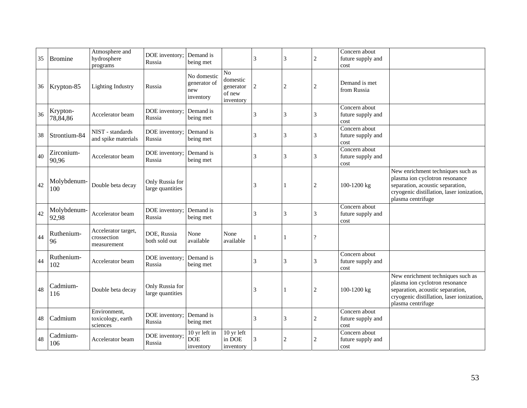| 35 | <b>Bromine</b>       | Atmosphere and<br>hydrosphere<br>programs         | DOE inventory;<br>Russia            | Demand is<br>being met                          |                                                    | 3 | 3              | 2 | Concern about<br>future supply and<br>cost |                                                                                                                                                                           |
|----|----------------------|---------------------------------------------------|-------------------------------------|-------------------------------------------------|----------------------------------------------------|---|----------------|---|--------------------------------------------|---------------------------------------------------------------------------------------------------------------------------------------------------------------------------|
|    | 36 Krypton-85        | <b>Lighting Industry</b>                          | Russia                              | No domestic<br>generator of<br>new<br>inventory | No<br>domestic<br>generator<br>of new<br>inventory | 2 | $\overline{c}$ | 2 | Demand is met<br>from Russia               |                                                                                                                                                                           |
| 36 | Krypton-<br>78,84,86 | Accelerator beam                                  | DOE inventory;<br>Russia            | Demand is<br>being met                          |                                                    | 3 | 3              | 3 | Concern about<br>future supply and<br>cost |                                                                                                                                                                           |
| 38 | Strontium-84         | NIST - standards<br>and spike materials           | DOE inventory;<br>Russia            | Demand is<br>being met                          |                                                    | 3 | 3              | 3 | Concern about<br>future supply and<br>cost |                                                                                                                                                                           |
| 40 | Zirconium-<br>90,96  | Accelerator beam                                  | DOE inventory;<br>Russia            | Demand is<br>being met                          |                                                    | 3 | 3              | 3 | Concern about<br>future supply and<br>cost |                                                                                                                                                                           |
| 42 | Molybdenum-<br>100   | Double beta decay                                 | Only Russia for<br>large quantities |                                                 |                                                    | 3 |                | 2 | 100-1200 kg                                | New enrichment techniques such as<br>plasma ion cyclotron resonance<br>separation, acoustic separation,<br>cryogenic distillation, laser ionization,<br>plasma centrifuge |
| 42 | Molybdenum-<br>92,98 | Accelerator beam                                  | DOE inventory;<br>Russia            | Demand is<br>being met                          |                                                    | 3 | 3              | 3 | Concern about<br>future supply and<br>cost |                                                                                                                                                                           |
| 44 | Ruthenium-<br>96     | Accelerator target,<br>crossection<br>measurement | DOE, Russia<br>both sold out        | None<br>available                               | None<br>available                                  |   |                | ? |                                            |                                                                                                                                                                           |
| 44 | Ruthenium-<br>102    | Accelerator beam                                  | DOE inventory;<br>Russia            | Demand is<br>being met                          |                                                    | 3 | 3              | 3 | Concern about<br>future supply and<br>cost |                                                                                                                                                                           |
| 48 | Cadmium-<br>116      | Double beta decay                                 | Only Russia for<br>large quantities |                                                 |                                                    | 3 | 1              | 2 | 100-1200 kg                                | New enrichment techniques such as<br>plasma ion cyclotron resonance<br>separation, acoustic separation,<br>cryogenic distillation, laser ionization,<br>plasma centrifuge |
| 48 | Cadmium              | Environment,<br>toxicology, earth<br>sciences     | DOE inventory;<br>Russia            | Demand is<br>being met                          |                                                    | 3 | 3              | 2 | Concern about<br>future supply and<br>cost |                                                                                                                                                                           |
| 48 | Cadmium-<br>106      | Accelerator beam                                  | DOE inventory;<br>Russia            | 10 yr left in<br><b>DOE</b><br>inventory        | $\overline{10}$ yr left<br>in DOE<br>inventory     | 3 | $\overline{c}$ | 2 | Concern about<br>future supply and<br>cost |                                                                                                                                                                           |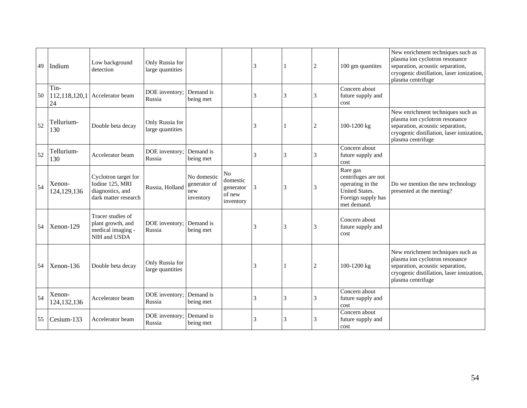| 49 | Indium                      | Low background<br>detection                                                         | Only Russia for<br>large quantities |                                                 |                                                                | 3 |   | $\overline{c}$ | 100 gm quantites                                                                                                  | New enrichment techniques such as<br>plasma ion cyclotron resonance<br>separation, acoustic separation,<br>cryogenic distillation, laser ionization,<br>plasma centrifuge |
|----|-----------------------------|-------------------------------------------------------------------------------------|-------------------------------------|-------------------------------------------------|----------------------------------------------------------------|---|---|----------------|-------------------------------------------------------------------------------------------------------------------|---------------------------------------------------------------------------------------------------------------------------------------------------------------------------|
| 50 | Tin-<br>112,118,120,1<br>24 | Accelerator beam                                                                    | DOE inventory;<br>Russia            | Demand is<br>being met                          |                                                                | 3 | 3 | 3              | Concern about<br>future supply and<br>cost                                                                        |                                                                                                                                                                           |
| 52 | Tellurium-<br>130           | Double beta decay                                                                   | Only Russia for<br>large quantities |                                                 |                                                                | 3 |   | $\overline{c}$ | 100-1200 kg                                                                                                       | New enrichment techniques such as<br>plasma ion cyclotron resonance<br>separation, acoustic separation,<br>cryogenic distillation, laser ionization,<br>plasma centrifuge |
| 52 | Tellurium-<br>130           | Accelerator beam                                                                    | DOE inventory;<br>Russia            | Demand is<br>being met                          |                                                                | 3 | 3 | 3              | Concern about<br>future supply and<br>cost                                                                        |                                                                                                                                                                           |
| 54 | Xenon-<br>124,129,136       | Cyclotron target for<br>Iodine 125, MRI<br>diagnostics, and<br>dark matter research | Russia, Holland                     | No domestic<br>generator of<br>new<br>inventory | N <sub>o</sub><br>domestic<br>generator<br>of new<br>inventory | 3 | 3 | 3              | Rare gas<br>centrifuges are not<br>operating in the<br><b>United States.</b><br>Foreign supply has<br>met demand. | Do we mention the new technology<br>presented at the meeting?                                                                                                             |
| 54 | Xenon-129                   | Tracer studies of<br>plant growth, and<br>medical imaging -<br>NIH and USDA         | DOE inventory;<br>Russia            | Demand is<br>being met                          |                                                                | 3 | 3 | 3              | Concern about<br>future supply and<br>cost                                                                        |                                                                                                                                                                           |
| 54 | Xenon-136                   | Double beta decay                                                                   | Only Russia for<br>large quantities |                                                 |                                                                | 3 |   | $\overline{c}$ | 100-1200 kg                                                                                                       | New enrichment techniques such as<br>plasma ion cyclotron resonance<br>separation, acoustic separation,<br>cryogenic distillation, laser ionization,<br>plasma centrifuge |
| 54 | Xenon-<br>124, 132, 136     | Accelerator beam                                                                    | DOE inventory;<br>Russia            | Demand is<br>being met                          |                                                                | 3 | 3 | 3              | Concern about<br>future supply and<br>cost                                                                        |                                                                                                                                                                           |
| 55 | Cesium-133                  | Accelerator beam                                                                    | DOE inventory;<br>Russia            | Demand is<br>being met                          |                                                                | 3 | 3 | 3              | Concern about<br>future supply and<br>cost                                                                        |                                                                                                                                                                           |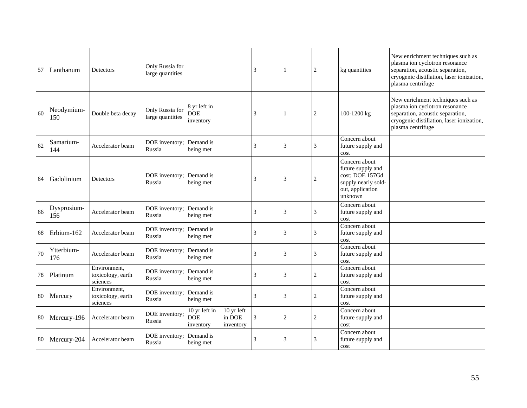| 57     | Lanthanum          | Detectors                                     | Only Russia for<br>large quantities |                                          |                                   | 3 |                | 2 | kg quantities                                                                                               | New enrichment techniques such as<br>plasma ion cyclotron resonance<br>separation, acoustic separation,<br>cryogenic distillation, laser ionization,<br>plasma centrifuge |
|--------|--------------------|-----------------------------------------------|-------------------------------------|------------------------------------------|-----------------------------------|---|----------------|---|-------------------------------------------------------------------------------------------------------------|---------------------------------------------------------------------------------------------------------------------------------------------------------------------------|
| 60     | Neodymium-<br>150  | Double beta decay                             | Only Russia for<br>large quantities | 8 yr left in<br><b>DOE</b><br>inventory  |                                   | 3 | 1              | 2 | 100-1200 kg                                                                                                 | New enrichment techniques such as<br>plasma ion cyclotron resonance<br>separation, acoustic separation,<br>cryogenic distillation, laser ionization,<br>plasma centrifuge |
| 62     | Samarium-<br>144   | Accelerator beam                              | DOE inventory;<br>Russia            | Demand is<br>being met                   |                                   | 3 | 3              | 3 | Concern about<br>future supply and<br>cost                                                                  |                                                                                                                                                                           |
| 64     | Gadolinium         | Detectors                                     | DOE inventory;<br>Russia            | Demand is<br>being met                   |                                   | 3 | 3              | 2 | Concern about<br>future supply and<br>cost: DOE 157Gd<br>supply nearly sold-<br>out, application<br>unknown |                                                                                                                                                                           |
| 66     | Dysprosium-<br>156 | Accelerator beam                              | DOE inventory;<br>Russia            | Demand is<br>being met                   |                                   | 3 | 3              | 3 | Concern about<br>future supply and<br>cost                                                                  |                                                                                                                                                                           |
| 68     | Erbium-162         | Accelerator beam                              | DOE inventory;<br>Russia            | Demand is<br>being met                   |                                   | 3 | 3              | 3 | Concern about<br>future supply and<br>cost                                                                  |                                                                                                                                                                           |
| 70     | Ytterbium-<br>176  | Accelerator beam                              | DOE inventory;<br>Russia            | Demand is<br>being met                   |                                   | 3 | 3              | 3 | Concern about<br>future supply and<br>cost                                                                  |                                                                                                                                                                           |
| $78\,$ | Platinum           | Environment,<br>toxicology, earth<br>sciences | DOE inventory;<br>Russia            | Demand is<br>being met                   |                                   | 3 | 3              | 2 | Concern about<br>future supply and<br>cost                                                                  |                                                                                                                                                                           |
| 80     | Mercury            | Environment.<br>toxicology, earth<br>sciences | DOE inventory;<br>Russia            | Demand is<br>being met                   |                                   | 3 | 3              | 2 | Concern about<br>future supply and<br>cost                                                                  |                                                                                                                                                                           |
| 80     | Mercury-196        | Accelerator beam                              | DOE inventory;<br>Russia            | 10 yr left in<br><b>DOE</b><br>inventory | 10 yr left<br>in DOE<br>inventory | 3 | $\overline{c}$ | 2 | Concern about<br>future supply and<br>cost                                                                  |                                                                                                                                                                           |
| 80     | Mercury-204        | Accelerator beam                              | DOE inventory;<br>Russia            | Demand is<br>being met                   |                                   | 3 | 3              | 3 | Concern about<br>future supply and<br>cost                                                                  |                                                                                                                                                                           |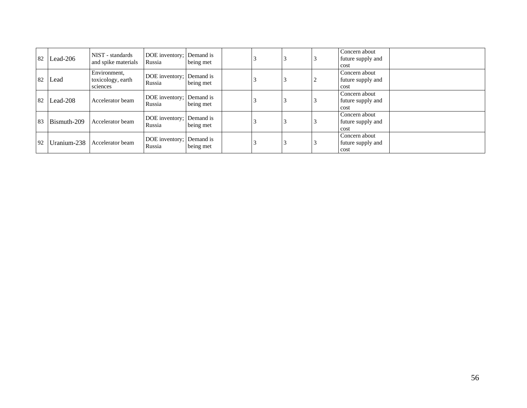| 82 | Lead-206    | NIST - standards<br>and spike materials       | DOE inventory; Demand is<br>Russia | being met |  |   | Concern about<br>future supply and<br>cost |
|----|-------------|-----------------------------------------------|------------------------------------|-----------|--|---|--------------------------------------------|
| 82 | Lead        | Environment,<br>toxicology, earth<br>sciences | DOE inventory; Demand is<br>Russia | being met |  | ∠ | Concern about<br>future supply and<br>cost |
| 82 | Lead-208    | Accelerator beam                              | DOE inventory; Demand is<br>Russia | being met |  |   | Concern about<br>future supply and<br>cost |
| 83 | Bismuth-209 | Accelerator beam                              | DOE inventory; Demand is<br>Russia | being met |  |   | Concern about<br>future supply and<br>cost |
| 92 | Uranium-238 | Accelerator beam                              | DOE inventory; Demand is<br>Russia | being met |  |   | Concern about<br>future supply and<br>cost |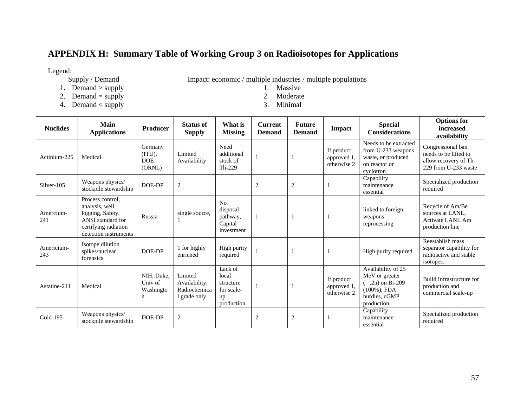# **APPENDIX H: Summary Table of Working Group 3 on Radioisotopes for Applications**

Legend:<br>Supply / Demand

Impact: economic / multiple industries / multiple populations  $1.$  Massive

- 1. Demand  $>$  supply
- 2. Demand = supply 2. Moderate<br>
4. Demand < supply 3. Minimal
- 4. Demand < supply 3. Minimal
- 
- 

| <b>Nuclides</b>   | <b>Main</b><br><b>Applications</b>                                                                                           | <b>Producer</b>                                   | <b>Status of</b><br><b>Supply</b>                        | What is<br><b>Missing</b>                                       | <b>Current</b><br><b>Demand</b> | <b>Future</b><br><b>Demand</b> | <b>Impact</b>                            | <b>Special</b><br><b>Considerations</b>                                                                       | <b>Options</b> for<br>increased<br>availability                                             |
|-------------------|------------------------------------------------------------------------------------------------------------------------------|---------------------------------------------------|----------------------------------------------------------|-----------------------------------------------------------------|---------------------------------|--------------------------------|------------------------------------------|---------------------------------------------------------------------------------------------------------------|---------------------------------------------------------------------------------------------|
| Actinium-225      | Medical                                                                                                                      | Germany<br>$(TTU)$ ,<br><b>DOE</b><br>(ORNL)      | Limited<br>Availability                                  | Need<br>additional<br>stock of<br>Th-229                        |                                 |                                | If product<br>approved 1.<br>otherwise 2 | Needs to be extracted<br>from U-233 weapons<br>waste, or produced<br>on reactor or<br>cyclotron               | Congressional ban<br>needs to be lifted to<br>allow recovery of Th-<br>229 from U-233 waste |
| Silver-105        | Weapons physics/<br>stockpile stewardship                                                                                    | DOE-DP                                            | $\sqrt{2}$                                               |                                                                 | $\overline{2}$                  | $\overline{2}$                 |                                          | Capability<br>maintenance<br>essential                                                                        | Specialized production<br>required                                                          |
| Amercium-<br>241  | Process control.<br>analysis, well<br>logging, Safety,<br>ANSI standard for<br>certifying radiation<br>detection instruments | Russia                                            | single source,                                           | N <sub>0</sub><br>disposal<br>pathway,<br>Capital<br>investment |                                 |                                |                                          | linked to foreign<br>weapons<br>reprocessing                                                                  | Recycle of Am/Be<br>sources at LANL,<br>Activate LANL Am<br>production line                 |
| Americium-<br>243 | Isotope dilution<br>spikes/nuclear<br>forensics                                                                              | DOE-DP                                            | 1 for highly<br>enriched                                 | High purity<br>required                                         |                                 |                                |                                          | High purity required                                                                                          | Reestablish mass<br>separator capability for<br>radioactive and stable<br>isotopes.         |
| Astatine-211      | Medical                                                                                                                      | NIH, Duke,<br>Univ of<br>Washingto<br>$\mathbf n$ | Limited<br>Availability,<br>Radiochemica<br>l grade only | Lack of<br>local<br>structure<br>for scale-<br>up<br>production |                                 |                                | If product<br>approved 1.<br>otherwise 2 | Availability of 25<br>MeV or greater<br>$($ , 2n) on Bi-209<br>$(100\%)$ , FDA<br>hurdles, cGMP<br>production | Build Infrastructure for<br>production and<br>commercial scale-up                           |
| Gold-195          | Weapons physics/<br>stockpile stewardship                                                                                    | DOE-DP                                            | $\overline{2}$                                           |                                                                 | $\overline{2}$                  | $\overline{2}$                 |                                          | Capability<br>maintenance<br>essential                                                                        | Specialized production<br>required                                                          |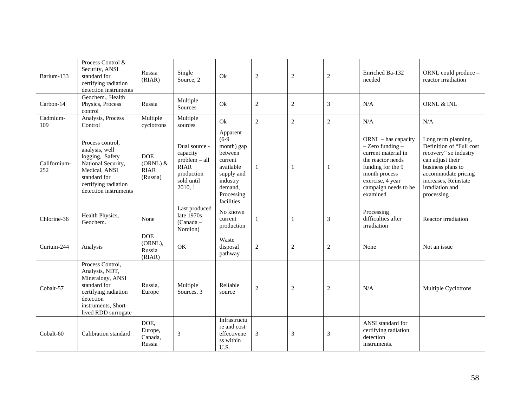| Barium-133          | Process Control &<br>Security, ANSI<br>standard for<br>certifying radiation<br>detection instruments                                                          | Russia<br>(RIAR)                                    | Single<br>Source, 2                                                                              | Ok                                                                                                                                    | $\sqrt{2}$     | $\mathbf{2}$   | $\overline{2}$ | Enriched Ba-132<br>needed                                                                                                                                                               | ORNL could produce -<br>reactor irradiation                                                                                                                                                       |
|---------------------|---------------------------------------------------------------------------------------------------------------------------------------------------------------|-----------------------------------------------------|--------------------------------------------------------------------------------------------------|---------------------------------------------------------------------------------------------------------------------------------------|----------------|----------------|----------------|-----------------------------------------------------------------------------------------------------------------------------------------------------------------------------------------|---------------------------------------------------------------------------------------------------------------------------------------------------------------------------------------------------|
| Carbon-14           | Geochem., Health<br>Physics, Process<br>control                                                                                                               | Russia                                              | Multiple<br>Sources                                                                              | Ok                                                                                                                                    | $\mathfrak{2}$ | 2              | 3              | N/A                                                                                                                                                                                     | ORNL & INL                                                                                                                                                                                        |
| Cadmium-<br>109     | Analysis, Process<br>Control                                                                                                                                  | Multiple<br>cyclotrons                              | Multiple<br>sources                                                                              | Ok                                                                                                                                    | $\mathbf{2}$   | $\overline{2}$ | $\mathfrak{2}$ | N/A                                                                                                                                                                                     | N/A                                                                                                                                                                                               |
| Californium-<br>252 | Process control,<br>analysis, well<br>logging, Safety<br>National Security,<br>Medical, ANSI<br>standard for<br>certifying radiation<br>detection instruments | <b>DOE</b><br>$(ORNL)$ &<br><b>RIAR</b><br>(Russia) | Dual source -<br>capacity<br>problem - all<br><b>RIAR</b><br>production<br>sold until<br>2010, 1 | Apparent<br>$(6-9)$<br>month) gap<br>between<br>current<br>available<br>supply and<br>industry<br>demand.<br>Processing<br>facilities | $\mathbf{1}$   | $\mathbf{1}$   | $\mathbf{1}$   | $ORNL - has capacity$<br>$-$ Zero funding $-$<br>current material in<br>the reactor needs<br>funding for the 9<br>month process<br>exercise, 4 year<br>campaign needs to be<br>examined | Long term planning,<br>Definition of "Full cost<br>recovery" so industry<br>can adjust their<br>business plans to<br>accommodate pricing<br>increases, Reinstate<br>irradiation and<br>processing |
| Chlorine-36         | Health Physics,<br>Geochem.                                                                                                                                   | None                                                | Last produced<br>late $1970s$<br>$(Canada -$<br>Nordion)                                         | No known<br>current<br>production                                                                                                     | 1              | 1              | 3              | Processing<br>difficulties after<br>irradiation                                                                                                                                         | Reactor irradiation                                                                                                                                                                               |
| Curium-244          | Analysis                                                                                                                                                      | <b>DOE</b><br>(ORNL),<br>Russia<br>(RIAR)           | OK                                                                                               | Waste<br>disposal<br>pathway                                                                                                          | $\sqrt{2}$     | $\overline{c}$ | $\mathbf{2}$   | None                                                                                                                                                                                    | Not an issue                                                                                                                                                                                      |
| Cobalt-57           | Process Control,<br>Analysis, NDT,<br>Mineralogy, ANSI<br>standard for<br>certifying radiation<br>detection<br>instruments, Short-<br>lived RDD surrogate     | Russia.<br>Europe                                   | Multiple<br>Sources, 3                                                                           | Reliable<br>source                                                                                                                    | 2              | $\overline{2}$ | $\overline{2}$ | N/A                                                                                                                                                                                     | Multiple Cyclotrons                                                                                                                                                                               |
| Cobalt-60           | Calibration standard                                                                                                                                          | DOE,<br>Europe,<br>Canada,<br>Russia                | $\overline{3}$                                                                                   | Infrastructu<br>re and cost<br>effectivene<br>ss within<br>U.S.                                                                       | 3              | 3              | 3              | ANSI standard for<br>certifying radiation<br>detection<br>instruments.                                                                                                                  |                                                                                                                                                                                                   |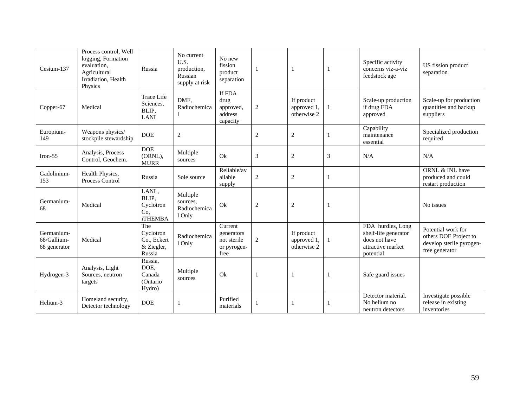| Cesium-137                                | Process control, Well<br>logging, Formation<br>evaluation,<br>Agricultural<br>Irradiation, Health<br>Physics | Russia                                                  | No current<br>U.S.<br>production,<br>Russian<br>supply at risk | No new<br>fission<br>product<br>separation                  | $\mathbf{1}$   |                                          |   | Specific activity<br>concerns viz-a-viz<br>feedstock age                                     | US fission product<br>separation                                                          |
|-------------------------------------------|--------------------------------------------------------------------------------------------------------------|---------------------------------------------------------|----------------------------------------------------------------|-------------------------------------------------------------|----------------|------------------------------------------|---|----------------------------------------------------------------------------------------------|-------------------------------------------------------------------------------------------|
| Copper-67                                 | Medical                                                                                                      | <b>Trace Life</b><br>Sciences,<br>BLIP,<br><b>LANL</b>  | DMF,<br>Radiochemica                                           | If FDA<br>drug<br>approved,<br>address<br>capacity          | $\sqrt{2}$     | If product<br>approved 1,<br>otherwise 2 |   | Scale-up production<br>if drug FDA<br>approved                                               | Scale-up for production<br>quantities and backup<br>suppliers                             |
| Europium-<br>149                          | Weapons physics/<br>stockpile stewardship                                                                    | <b>DOE</b>                                              | $\overline{c}$                                                 |                                                             | $\overline{2}$ | $\overline{2}$                           |   | Capability<br>maintenance<br>essential                                                       | Specialized production<br>required                                                        |
| Iron- $55$                                | Analysis, Process<br>Control, Geochem.                                                                       | <b>DOE</b><br>(ORNL),<br><b>MURR</b>                    | Multiple<br>sources                                            | Ok                                                          | 3              | $\sqrt{2}$                               | 3 | N/A                                                                                          | N/A                                                                                       |
| Gadolinium-<br>153                        | Health Physics,<br>Process Control                                                                           | Russia                                                  | Sole source                                                    | Reliable/av<br>ailable<br>supply                            | $\overline{2}$ | $\overline{2}$                           |   |                                                                                              | ORNL & INL have<br>produced and could<br>restart production                               |
| Germanium-<br>68                          | Medical                                                                                                      | LANL,<br>BLIP,<br>Cyclotron<br>Co.<br><b>iTHEMBA</b>    | Multiple<br>sources.<br>Radiochemica<br>1 Only                 | Ok                                                          | $\sqrt{2}$     | $\sqrt{2}$                               |   |                                                                                              | No issues                                                                                 |
| Germanium-<br>68/Gallium-<br>68 generator | Medical                                                                                                      | The<br>Cyclotron<br>Co., Eckert<br>& Ziegler,<br>Russia | Radiochemica<br>1 Only                                         | Current<br>generators<br>not sterile<br>or pyrogen-<br>free | $\overline{2}$ | If product<br>approved 1,<br>otherwise 2 |   | FDA hurdles, Long<br>shelf-life generator<br>does not have<br>attractive market<br>potential | Potential work for<br>others DOE Project to<br>develop sterile pyrogen-<br>free generator |
| Hydrogen-3                                | Analysis, Light<br>Sources, neutron<br>targets                                                               | Russia,<br>DOE,<br>Canada<br>(Ontario)<br>Hydro)        | Multiple<br>sources                                            | Ok                                                          | $\mathbf{1}$   |                                          |   | Safe guard issues                                                                            |                                                                                           |
| Helium-3                                  | Homeland security,<br>Detector technology                                                                    | <b>DOE</b>                                              | -1                                                             | Purified<br>materials                                       | -1             |                                          |   | Detector material.<br>No helium no<br>neutron detectors                                      | Investigate possible<br>release in existing<br>inventories                                |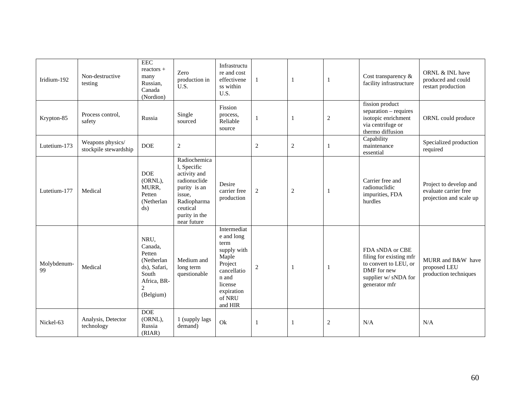| Iridium-192       | Non-destructive<br>testing                | $\rm{EEC}$<br>reactors +<br>many<br>Russian,<br>Canada<br>(Nordion)                               | Zero<br>production in<br>U.S.                                                                                                                    | Infrastructu<br>re and cost<br>effectivene<br>ss within<br>U.S.                                                                            | $\mathbf{1}$   | $\mathbf{1}$   | $\mathbf{1}$   | Cost transparency $\&$<br>facility infrastructure                                                                          | ORNL & INL have<br>produced and could<br>restart production                |
|-------------------|-------------------------------------------|---------------------------------------------------------------------------------------------------|--------------------------------------------------------------------------------------------------------------------------------------------------|--------------------------------------------------------------------------------------------------------------------------------------------|----------------|----------------|----------------|----------------------------------------------------------------------------------------------------------------------------|----------------------------------------------------------------------------|
| Krypton-85        | Process control,<br>safety                | Russia                                                                                            | Single<br>sourced                                                                                                                                | Fission<br>process,<br>Reliable<br>source                                                                                                  | $\mathbf{1}$   | $\mathbf{1}$   | $\overline{2}$ | fission product<br>separation - requires<br>isotopic enrichment<br>via centrifuge or<br>thermo diffusion                   | ORNL could produce                                                         |
| Lutetium-173      | Weapons physics/<br>stockpile stewardship | <b>DOE</b>                                                                                        | $\overline{c}$                                                                                                                                   |                                                                                                                                            | $\sqrt{2}$     | $\sqrt{2}$     | $\mathbf{1}$   | Capability<br>maintenance<br>essential                                                                                     | Specialized production<br>required                                         |
| Lutetium-177      | Medical                                   | <b>DOE</b><br>(ORNL),<br>MURR,<br>Petten<br>(Netherlan<br>ds)                                     | Radiochemica<br>l, Specific<br>activity and<br>radionuclide<br>purity is an<br>issue,<br>Radiopharma<br>ceutical<br>purity in the<br>near future | Desire<br>carrier free<br>production                                                                                                       | $\overline{2}$ | $\overline{2}$ | $\mathbf{1}$   | Carrier free and<br>radionuclidic<br>impurities, FDA<br>hurdles                                                            | Project to develop and<br>evaluate carrier free<br>projection and scale up |
| Molybdenum-<br>99 | Medical                                   | NRU,<br>Canada,<br>Petten<br>(Netherlan<br>ds), Safari,<br>South<br>Africa, BR-<br>2<br>(Belgium) | Medium and<br>long term<br>questionable                                                                                                          | Intermediat<br>e and long<br>term<br>supply with<br>Maple<br>Project<br>cancellatio<br>n and<br>license<br>expiration<br>of NRU<br>and HIR | $\overline{2}$ | $\mathbf{1}$   | -1             | FDA sNDA or CBE<br>filing for existing mfr<br>to convert to LEU, or<br>DMF for new<br>supplier w/sNDA for<br>generator mfr | MURR and B&W have<br>proposed LEU<br>production techniques                 |
| Nickel-63         | Analysis, Detector<br>technology          | <b>DOE</b><br>(ORNL),<br>Russia<br>(RIAR)                                                         | 1 (supply lags<br>demand)                                                                                                                        | Ok                                                                                                                                         | 1              | $\mathbf{1}$   | $\overline{2}$ | N/A                                                                                                                        | N/A                                                                        |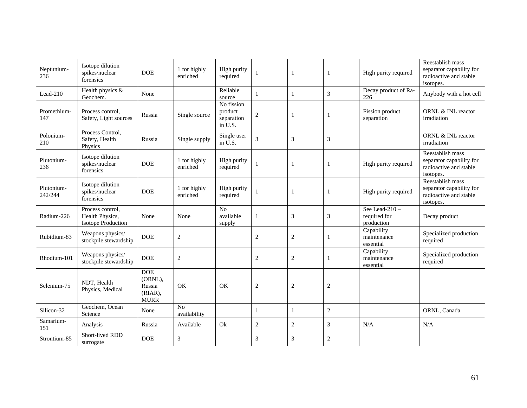| Neptunium-<br>236     | Isotope dilution<br>spikes/nuclear<br>forensics                  | <b>DOE</b>                                                   | 1 for highly<br>enriched       | High purity<br>required                        |                |                | $\mathbf{1}$   | High purity required                           | Reestablish mass<br>separator capability for<br>radioactive and stable<br>isotopes. |
|-----------------------|------------------------------------------------------------------|--------------------------------------------------------------|--------------------------------|------------------------------------------------|----------------|----------------|----------------|------------------------------------------------|-------------------------------------------------------------------------------------|
| Lead-210              | Health physics &<br>Geochem.                                     | None                                                         |                                | Reliable<br>source                             | $\mathbf{1}$   | $\overline{1}$ | 3              | Decay product of Ra-<br>226                    | Anybody with a hot cell                                                             |
| Promethium-<br>147    | Process control.<br>Safety, Light sources                        | Russia                                                       | Single source                  | No fission<br>product<br>separation<br>in U.S. | $\sqrt{2}$     |                | $\mathbf{1}$   | Fission product<br>separation                  | ORNL & INL reactor<br>irradiation                                                   |
| Polonium-<br>210      | Process Control,<br>Safety, Health<br>Physics                    | Russia                                                       | Single supply                  | Single user<br>in U.S.                         | $\mathfrak{Z}$ | 3              | 3              |                                                | ORNL & INL reactor<br>irradiation                                                   |
| Plutonium-<br>236     | Isotope dilution<br>spikes/nuclear<br>forensics                  | <b>DOE</b>                                                   | 1 for highly<br>enriched       | High purity<br>required                        |                |                | $\mathbf{1}$   | High purity required                           | Reestablish mass<br>separator capability for<br>radioactive and stable<br>isotopes. |
| Plutonium-<br>242/244 | Isotope dilution<br>spikes/nuclear<br>forensics                  | <b>DOE</b>                                                   | 1 for highly<br>enriched       | High purity<br>required                        |                |                | $\mathbf{1}$   | High purity required                           | Reestablish mass<br>separator capability for<br>radioactive and stable<br>isotopes. |
| Radium-226            | Process control,<br>Health Physics,<br><b>Isotope Production</b> | None                                                         | None                           | No<br>available<br>supply                      |                | 3              | 3              | See Lead-210 $-$<br>required for<br>production | Decay product                                                                       |
| Rubidium-83           | Weapons physics/<br>stockpile stewardship                        | <b>DOE</b>                                                   | $\overline{2}$                 |                                                | 2              | $\overline{2}$ | $\mathbf{1}$   | Capability<br>maintenance<br>essential         | Specialized production<br>required                                                  |
| Rhodium-101           | Weapons physics/<br>stockpile stewardship                        | <b>DOE</b>                                                   | $\overline{2}$                 |                                                | 2              | $\overline{2}$ | $\mathbf{1}$   | Capability<br>maintenance<br>essential         | Specialized production<br>required                                                  |
| Selenium-75           | NDT, Health<br>Physics, Medical                                  | <b>DOE</b><br>(ORNL),<br>Russia<br>$(RIAR)$ ,<br><b>MURR</b> | OK                             | OK                                             | $\mathbf{2}$   | $\overline{2}$ | $\overline{2}$ |                                                |                                                                                     |
| Silicon-32            | Geochem, Ocean<br>Science                                        | None                                                         | N <sub>0</sub><br>availability |                                                | $\mathbf{1}$   | $\mathbf{1}$   | $\overline{2}$ |                                                | ORNL, Canada                                                                        |
| Samarium-<br>151      | Analysis                                                         | Russia                                                       | Available                      | Ok                                             | $\overline{2}$ | $\mathbf{2}$   | 3              | N/A                                            | N/A                                                                                 |
| Strontium-85          | Short-lived RDD<br>surrogate                                     | <b>DOE</b>                                                   | 3                              |                                                | 3              | 3              | $\overline{2}$ |                                                |                                                                                     |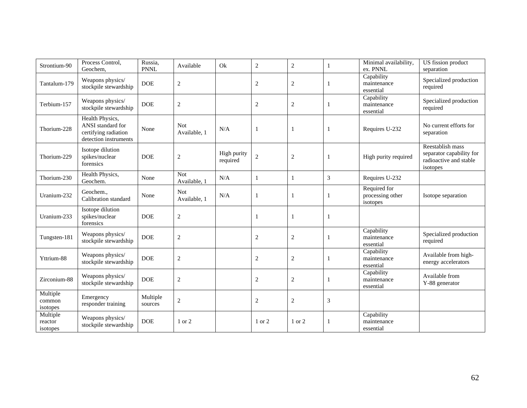| Strontium-90                    | Process Control,<br>Geochem.                                                          | Russia,<br><b>PNNL</b> | Available                  | Ok                      | $\overline{c}$ | $\overline{c}$ | 1            | Minimal availability,<br>ex. PNNL            | US fission product<br>separation                                                   |
|---------------------------------|---------------------------------------------------------------------------------------|------------------------|----------------------------|-------------------------|----------------|----------------|--------------|----------------------------------------------|------------------------------------------------------------------------------------|
| Tantalum-179                    | Weapons physics/<br>stockpile stewardship                                             | <b>DOE</b>             | $\sqrt{2}$                 |                         | $\overline{c}$ | $\overline{c}$ | 1            | Capability<br>maintenance<br>essential       | Specialized production<br>required                                                 |
| Terbium-157                     | Weapons physics/<br>stockpile stewardship                                             | <b>DOE</b>             | $\sqrt{2}$                 |                         | $\overline{c}$ | $\overline{c}$ | 1            | Capability<br>maintenance<br>essential       | Specialized production<br>required                                                 |
| Thorium-228                     | Health Physics,<br>ANSI standard for<br>certifying radiation<br>detection instruments | None                   | <b>Not</b><br>Available, 1 | N/A                     | $\mathbf{1}$   | -1             | 1            | Requires U-232                               | No current efforts for<br>separation                                               |
| Thorium-229                     | Isotope dilution<br>spikes/nuclear<br>forensics                                       | <b>DOE</b>             | $\sqrt{2}$                 | High purity<br>required | $\overline{c}$ | $\overline{c}$ | 1            | High purity required                         | Reestablish mass<br>separator capability for<br>radioactive and stable<br>isotopes |
| Thorium-230                     | Health Physics,<br>Geochem.                                                           | None                   | <b>Not</b><br>Available, 1 | N/A                     | 1              | $\mathbf{1}$   | 3            | Requires U-232                               |                                                                                    |
| Uranium-232                     | Geochem.,<br>Calibration standard                                                     | None                   | Not<br>Available, 1        | N/A                     | $\mathbf{1}$   |                | -1           | Required for<br>processing other<br>isotopes | Isotope separation                                                                 |
| Uranium-233                     | Isotope dilution<br>spikes/nuclear<br>forensics                                       | <b>DOE</b>             | $\overline{2}$             |                         | $\mathbf{1}$   |                | 1            |                                              |                                                                                    |
| Tungsten-181                    | Weapons physics/<br>stockpile stewardship                                             | <b>DOE</b>             | $\sqrt{2}$                 |                         | $\sqrt{2}$     | $\overline{c}$ | 1            | Capability<br>maintenance<br>essential       | Specialized production<br>required                                                 |
| Yttrium-88                      | Weapons physics/<br>stockpile stewardship                                             | <b>DOE</b>             | $\mathbf{2}$               |                         | $\mathfrak{2}$ | $\overline{c}$ | $\mathbf{1}$ | Capability<br>maintenance<br>essential       | Available from high-<br>energy accelerators                                        |
| Zirconium-88                    | Weapons physics/<br>stockpile stewardship                                             | <b>DOE</b>             | $\mathbf{2}$               |                         | $\overline{c}$ | $\overline{c}$ | -1           | Capability<br>maintenance<br>essential       | Available from<br>Y-88 generator                                                   |
| Multiple<br>common<br>isotopes  | Emergency<br>responder training                                                       | Multiple<br>sources    | $\sqrt{2}$                 |                         | $\overline{c}$ | $\overline{c}$ | 3            |                                              |                                                                                    |
| Multiple<br>reactor<br>isotopes | Weapons physics/<br>stockpile stewardship                                             | <b>DOE</b>             | 1 or 2                     |                         | 1 or 2         | 1 or 2         | 1            | Capability<br>maintenance<br>essential       |                                                                                    |